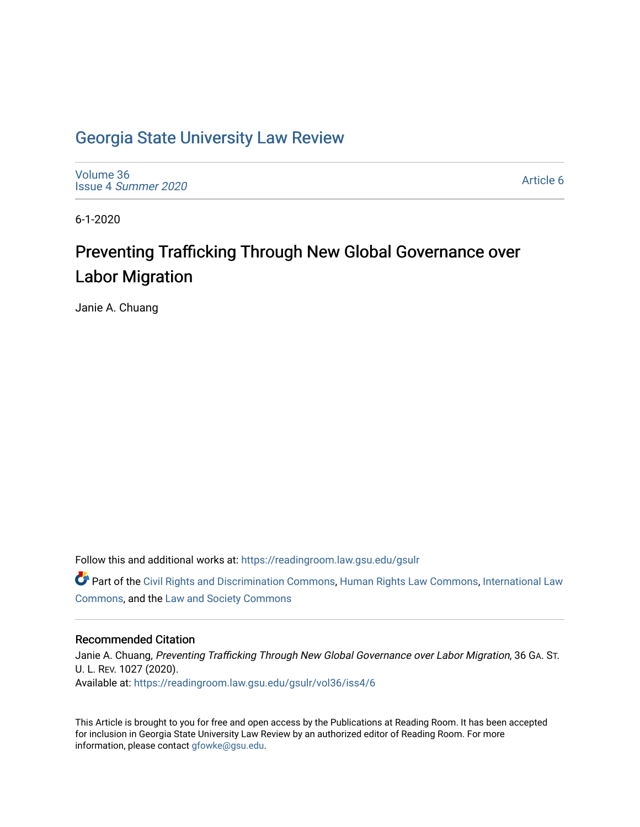# [Georgia State University Law Review](https://readingroom.law.gsu.edu/gsulr)

[Volume 36](https://readingroom.law.gsu.edu/gsulr/vol36) Issue 4 [Summer 2020](https://readingroom.law.gsu.edu/gsulr/vol36/iss4) 

[Article 6](https://readingroom.law.gsu.edu/gsulr/vol36/iss4/6) 

6-1-2020

# Preventing Trafficking Through New Global Governance over Labor Migration

Janie A. Chuang

Follow this and additional works at: [https://readingroom.law.gsu.edu/gsulr](https://readingroom.law.gsu.edu/gsulr?utm_source=readingroom.law.gsu.edu%2Fgsulr%2Fvol36%2Fiss4%2F6&utm_medium=PDF&utm_campaign=PDFCoverPages) 

Part of the [Civil Rights and Discrimination Commons,](http://network.bepress.com/hgg/discipline/585?utm_source=readingroom.law.gsu.edu%2Fgsulr%2Fvol36%2Fiss4%2F6&utm_medium=PDF&utm_campaign=PDFCoverPages) [Human Rights Law Commons,](http://network.bepress.com/hgg/discipline/847?utm_source=readingroom.law.gsu.edu%2Fgsulr%2Fvol36%2Fiss4%2F6&utm_medium=PDF&utm_campaign=PDFCoverPages) [International Law](http://network.bepress.com/hgg/discipline/609?utm_source=readingroom.law.gsu.edu%2Fgsulr%2Fvol36%2Fiss4%2F6&utm_medium=PDF&utm_campaign=PDFCoverPages)  [Commons](http://network.bepress.com/hgg/discipline/609?utm_source=readingroom.law.gsu.edu%2Fgsulr%2Fvol36%2Fiss4%2F6&utm_medium=PDF&utm_campaign=PDFCoverPages), and the [Law and Society Commons](http://network.bepress.com/hgg/discipline/853?utm_source=readingroom.law.gsu.edu%2Fgsulr%2Fvol36%2Fiss4%2F6&utm_medium=PDF&utm_campaign=PDFCoverPages)

# Recommended Citation

Janie A. Chuang, Preventing Trafficking Through New Global Governance over Labor Migration, 36 GA. ST. U. L. REV. 1027 (2020). Available at: [https://readingroom.law.gsu.edu/gsulr/vol36/iss4/6](https://readingroom.law.gsu.edu/gsulr/vol36/iss4/6?utm_source=readingroom.law.gsu.edu%2Fgsulr%2Fvol36%2Fiss4%2F6&utm_medium=PDF&utm_campaign=PDFCoverPages)

This Article is brought to you for free and open access by the Publications at Reading Room. It has been accepted for inclusion in Georgia State University Law Review by an authorized editor of Reading Room. For more information, please contact [gfowke@gsu.edu.](mailto:gfowke@gsu.edu)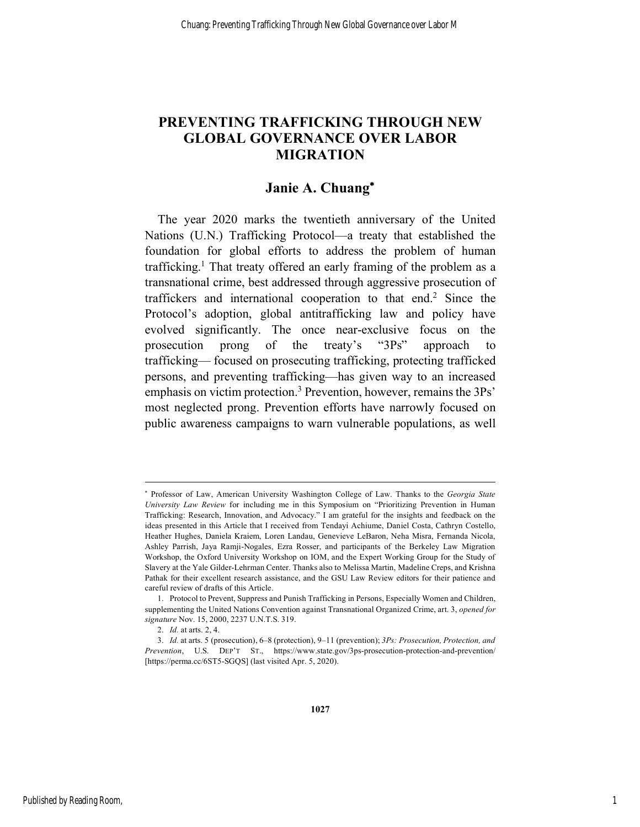# **PREVENTING TRAFFICKING THROUGH NEW GLOBAL GOVERNANCE OVER LABOR MIGRATION**

# **Janie A. Chuang**\*

The year 2020 marks the twentieth anniversary of the United Nations (U.N.) Trafficking Protocol—a treaty that established the foundation for global efforts to address the problem of human trafficking.<sup>1</sup> That treaty offered an early framing of the problem as a transnational crime, best addressed through aggressive prosecution of traffickers and international cooperation to that end.2 Since the Protocol's adoption, global antitrafficking law and policy have evolved significantly. The once near-exclusive focus on the prosecution prong of the treaty's "3Ps" approach to trafficking— focused on prosecuting trafficking, protecting trafficked persons, and preventing trafficking—has given way to an increased emphasis on victim protection.<sup>3</sup> Prevention, however, remains the 3Ps' most neglected prong. Prevention efforts have narrowly focused on public awareness campaigns to warn vulnerable populations, as well

1

<sup>\*</sup> Professor of Law, American University Washington College of Law. Thanks to the *Georgia State University Law Review* for including me in this Symposium on "Prioritizing Prevention in Human Trafficking: Research, Innovation, and Advocacy." I am grateful for the insights and feedback on the ideas presented in this Article that I received from Tendayi Achiume, Daniel Costa, Cathryn Costello, Heather Hughes, Daniela Kraiem, Loren Landau, Genevieve LeBaron, Neha Misra, Fernanda Nicola, Ashley Parrish, Jaya Ramji-Nogales, Ezra Rosser, and participants of the Berkeley Law Migration Workshop, the Oxford University Workshop on IOM, and the Expert Working Group for the Study of Slavery at the Yale Gilder-Lehrman Center. Thanks also to Melissa Martin, Madeline Creps, and Krishna Pathak for their excellent research assistance, and the GSU Law Review editors for their patience and careful review of drafts of this Article.

<sup>1.</sup> Protocol to Prevent, Suppress and Punish Trafficking in Persons, Especially Women and Children, supplementing the United Nations Convention against Transnational Organized Crime, art. 3, *opened for signature* Nov. 15, 2000, 2237 U.N.T.S. 319.

<sup>2.</sup> *Id.* at arts. 2, 4.

<sup>3.</sup> *Id.* at arts. 5 (prosecution), 6–8 (protection), 9–11 (prevention); *3Ps: Prosecution, Protection, and Prevention*, U.S. DEP'T ST., https://www.state.gov/3ps-prosecution-protection-and-prevention/ [https://perma.cc/6ST5-SGQS] (last visited Apr. 5, 2020).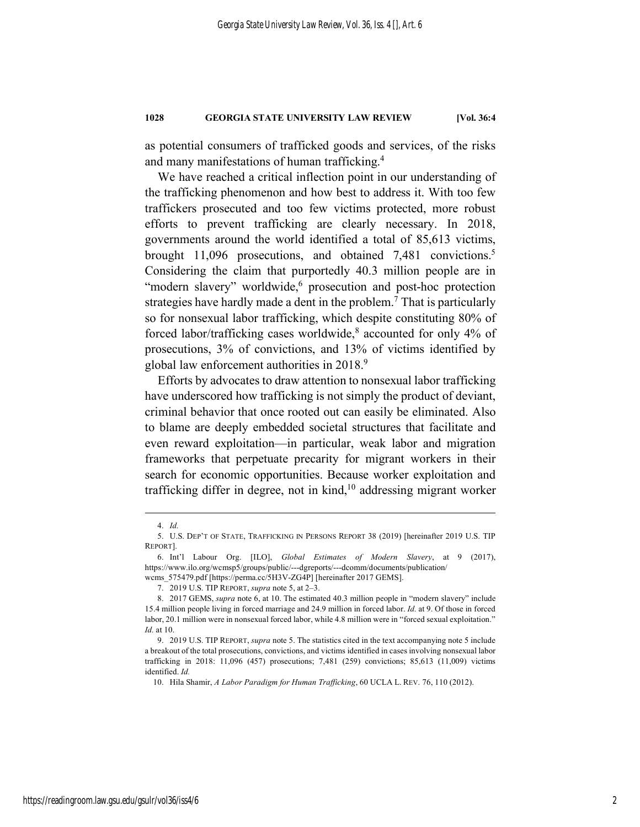as potential consumers of trafficked goods and services, of the risks and many manifestations of human trafficking. 4

We have reached a critical inflection point in our understanding of the trafficking phenomenon and how best to address it. With too few traffickers prosecuted and too few victims protected, more robust efforts to prevent trafficking are clearly necessary. In 2018, governments around the world identified a total of 85,613 victims, brought 11,096 prosecutions, and obtained 7,481 convictions.5 Considering the claim that purportedly 40.3 million people are in "modern slavery" worldwide,<sup>6</sup> prosecution and post-hoc protection strategies have hardly made a dent in the problem. <sup>7</sup> That is particularly so for nonsexual labor trafficking, which despite constituting 80% of forced labor/trafficking cases worldwide, <sup>8</sup> accounted for only 4% of prosecutions, 3% of convictions, and 13% of victims identified by global law enforcement authorities in 2018. 9

Efforts by advocates to draw attention to nonsexual labor trafficking have underscored how trafficking is not simply the product of deviant, criminal behavior that once rooted out can easily be eliminated. Also to blame are deeply embedded societal structures that facilitate and even reward exploitation—in particular, weak labor and migration frameworks that perpetuate precarity for migrant workers in their search for economic opportunities. Because worker exploitation and trafficking differ in degree, not in kind, <sup>10</sup> addressing migrant worker

 <sup>4.</sup> *Id.*

<sup>5.</sup> U.S. DEP'T OF STATE, TRAFFICKING IN PERSONS REPORT 38 (2019) [hereinafter 2019 U.S. TIP REPORT].

<sup>6.</sup> Int'l Labour Org. [ILO], *Global Estimates of Modern Slavery*, at 9 (2017), https://www.ilo.org/wcmsp5/groups/public/---dgreports/---dcomm/documents/publication/ wcms\_575479.pdf [https://perma.cc/5H3V-ZG4P] [hereinafter 2017 GEMS].

<sup>7.</sup> 2019 U.S. TIP REPORT, *supra* note 5, at 2–3.

<sup>8.</sup> 2017 GEMS, *supra* note 6, at 10. The estimated 40.3 million people in "modern slavery" include 15.4 million people living in forced marriage and 24.9 million in forced labor. *Id.* at 9. Of those in forced labor, 20.1 million were in nonsexual forced labor, while 4.8 million were in "forced sexual exploitation." *Id.* at 10.

<sup>9.</sup> 2019 U.S. TIP REPORT, *supra* note 5. The statistics cited in the text accompanying note 5 include a breakout of the total prosecutions, convictions, and victims identified in cases involving nonsexual labor trafficking in 2018: 11,096 (457) prosecutions; 7,481 (259) convictions; 85,613 (11,009) victims identified. *Id.*

<sup>10.</sup> Hila Shamir, *A Labor Paradigm for Human Trafficking*, 60 UCLA L. REV. 76, 110 (2012).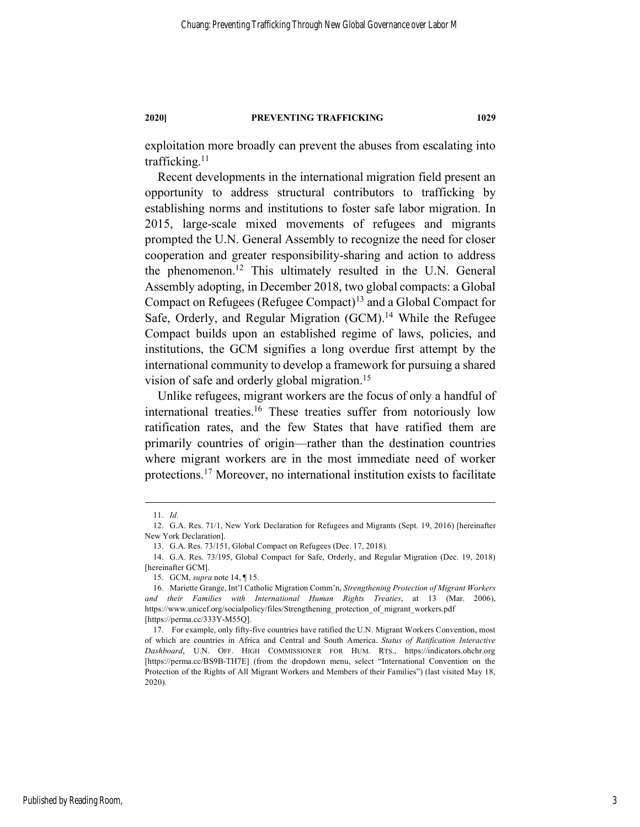exploitation more broadly can prevent the abuses from escalating into trafficking.11

Recent developments in the international migration field present an opportunity to address structural contributors to trafficking by establishing norms and institutions to foster safe labor migration. In 2015, large-scale mixed movements of refugees and migrants prompted the U.N. General Assembly to recognize the need for closer cooperation and greater responsibility-sharing and action to address the phenomenon.12 This ultimately resulted in the U.N. General Assembly adopting, in December 2018, two global compacts: a Global Compact on Refugees (Refugee Compact)13 and a Global Compact for Safe, Orderly, and Regular Migration (GCM).<sup>14</sup> While the Refugee Compact builds upon an established regime of laws, policies, and institutions, the GCM signifies a long overdue first attempt by the international community to develop a framework for pursuing a shared vision of safe and orderly global migration.15

Unlike refugees, migrant workers are the focus of only a handful of international treaties.16 These treaties suffer from notoriously low ratification rates, and the few States that have ratified them are primarily countries of origin—rather than the destination countries where migrant workers are in the most immediate need of worker protections.17 Moreover, no international institution exists to facilitate

 <sup>11.</sup> *Id.*

<sup>12.</sup> G.A. Res. 71/1, New York Declaration for Refugees and Migrants (Sept. 19, 2016) [hereinafter New York Declaration].

<sup>13.</sup> G.A. Res. 73/151, Global Compact on Refugees (Dec. 17, 2018).

<sup>14.</sup> G.A. Res. 73/195, Global Compact for Safe, Orderly, and Regular Migration (Dec. 19, 2018) [hereinafter GCM].

<sup>15.</sup> GCM, *supra* note 14, ¶ 15.

<sup>16.</sup> Mariette Grange, Int'l Catholic Migration Comm'n, *Strengthening Protection of Migrant Workers and their Families with International Human Rights Treaties*, at 13 (Mar. 2006), https://www.unicef.org/socialpolicy/files/Strengthening\_protection\_of\_migrant\_workers.pdf [https://perma.cc/333Y-M55Q].

<sup>17.</sup> For example, only fifty-five countries have ratified the U.N. Migrant Workers Convention, most of which are countries in Africa and Central and South America. *Status of Ratification Interactive Dashboard*, U.N. OFF. HIGH COMMISSIONER FOR HUM. RTS., https://indicators.ohchr.org [https://perma.cc/BS9B-TH7E] (from the dropdown menu, select "International Convention on the Protection of the Rights of All Migrant Workers and Members of their Families") (last visited May 18, 2020).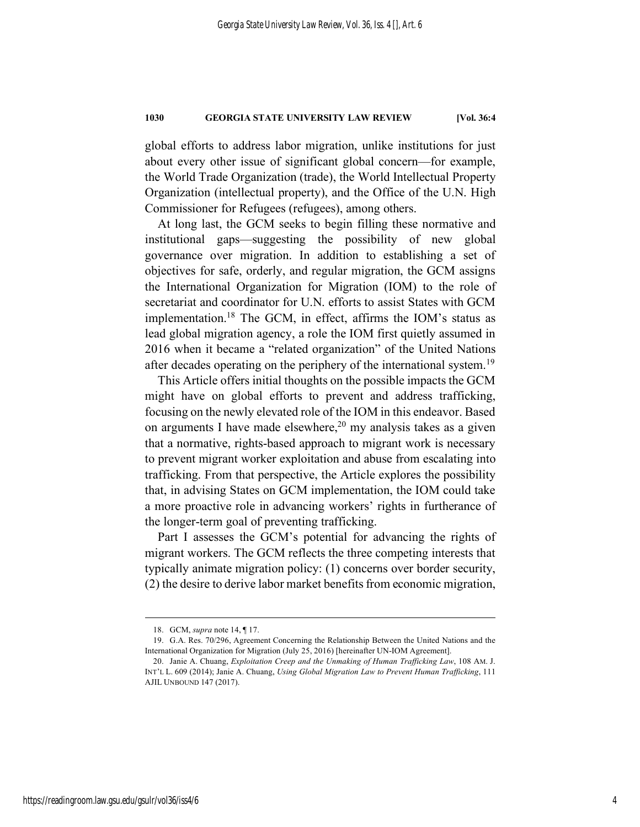global efforts to address labor migration, unlike institutions for just about every other issue of significant global concern—for example, the World Trade Organization (trade), the World Intellectual Property Organization (intellectual property), and the Office of the U.N. High Commissioner for Refugees (refugees), among others.

At long last, the GCM seeks to begin filling these normative and institutional gaps—suggesting the possibility of new global governance over migration. In addition to establishing a set of objectives for safe, orderly, and regular migration, the GCM assigns the International Organization for Migration (IOM) to the role of secretariat and coordinator for U.N. efforts to assist States with GCM implementation. <sup>18</sup> The GCM, in effect, affirms the IOM's status as lead global migration agency, a role the IOM first quietly assumed in 2016 when it became a "related organization" of the United Nations after decades operating on the periphery of the international system.<sup>19</sup>

This Article offers initial thoughts on the possible impacts the GCM might have on global efforts to prevent and address trafficking, focusing on the newly elevated role of the IOM in this endeavor. Based on arguments I have made elsewhere,<sup>20</sup> my analysis takes as a given that a normative, rights-based approach to migrant work is necessary to prevent migrant worker exploitation and abuse from escalating into trafficking. From that perspective, the Article explores the possibility that, in advising States on GCM implementation, the IOM could take a more proactive role in advancing workers' rights in furtherance of the longer-term goal of preventing trafficking.

Part I assesses the GCM's potential for advancing the rights of migrant workers. The GCM reflects the three competing interests that typically animate migration policy: (1) concerns over border security, (2) the desire to derive labor market benefits from economic migration,

 <sup>18.</sup> GCM, *supra* note 14, ¶ 17.

<sup>19.</sup> G.A. Res. 70/296, Agreement Concerning the Relationship Between the United Nations and the International Organization for Migration (July 25, 2016) [hereinafter UN-IOM Agreement].

<sup>20.</sup> Janie A. Chuang, *Exploitation Creep and the Unmaking of Human Trafficking Law*, 108 AM. J. INT'L L. 609 (2014); Janie A. Chuang, *Using Global Migration Law to Prevent Human Trafficking*, 111 AJIL UNBOUND 147 (2017).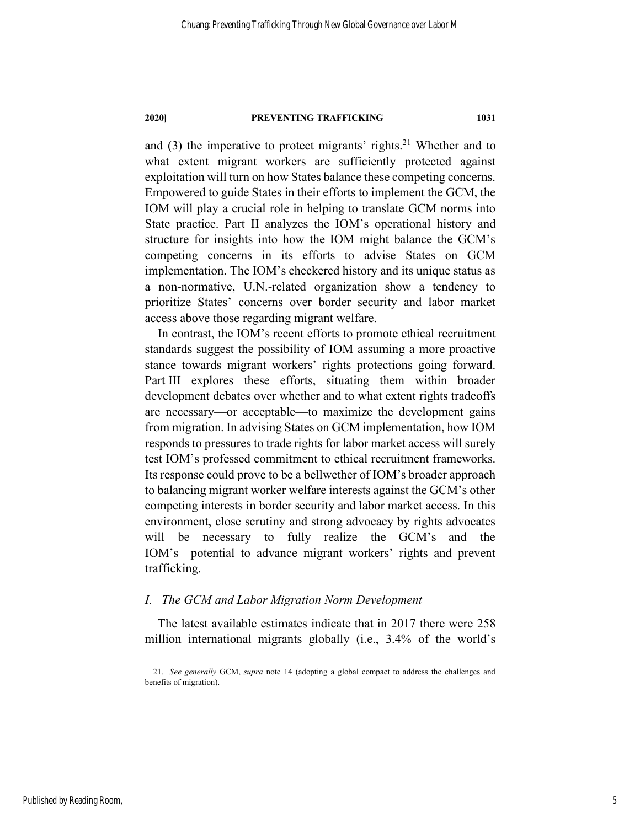and  $(3)$  the imperative to protect migrants' rights.<sup>21</sup> Whether and to what extent migrant workers are sufficiently protected against exploitation will turn on how States balance these competing concerns. Empowered to guide States in their efforts to implement the GCM, the IOM will play a crucial role in helping to translate GCM norms into State practice. Part II analyzes the IOM's operational history and structure for insights into how the IOM might balance the GCM's competing concerns in its efforts to advise States on GCM implementation. The IOM's checkered history and its unique status as a non-normative, U.N.-related organization show a tendency to prioritize States' concerns over border security and labor market access above those regarding migrant welfare.

In contrast, the IOM's recent efforts to promote ethical recruitment standards suggest the possibility of IOM assuming a more proactive stance towards migrant workers' rights protections going forward. Part III explores these efforts, situating them within broader development debates over whether and to what extent rights tradeoffs are necessary—or acceptable—to maximize the development gains from migration. In advising States on GCM implementation, how IOM responds to pressures to trade rights for labor market access will surely test IOM's professed commitment to ethical recruitment frameworks. Its response could prove to be a bellwether of IOM's broader approach to balancing migrant worker welfare interests against the GCM's other competing interests in border security and labor market access. In this environment, close scrutiny and strong advocacy by rights advocates will be necessary to fully realize the GCM's—and the IOM's—potential to advance migrant workers' rights and prevent trafficking.

# *I. The GCM and Labor Migration Norm Development*

The latest available estimates indicate that in 2017 there were 258 million international migrants globally (i.e., 3.4% of the world's

 <sup>21.</sup> *See generally* GCM, *supra* note 14 (adopting a global compact to address the challenges and benefits of migration).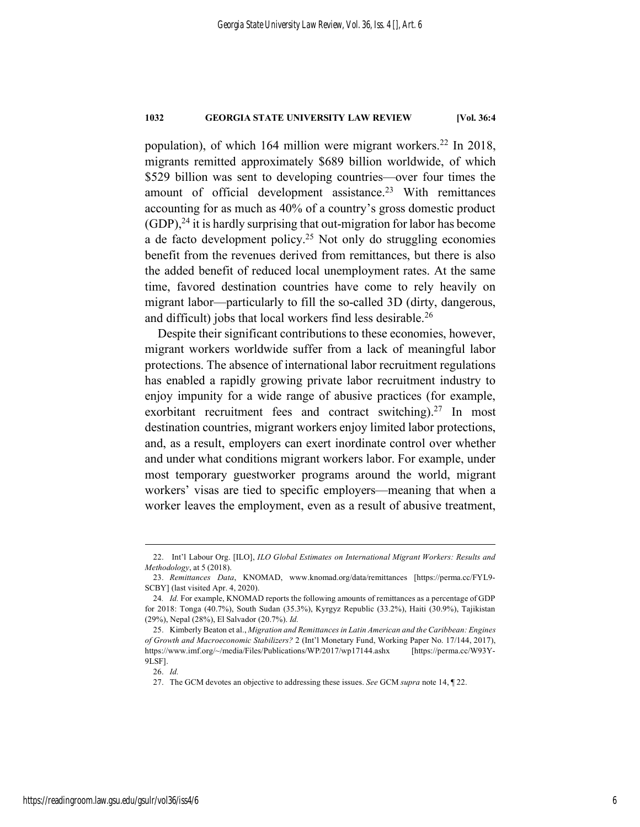population), of which 164 million were migrant workers.<sup>22</sup> In 2018, migrants remitted approximately \$689 billion worldwide, of which \$529 billion was sent to developing countries—over four times the amount of official development assistance.<sup>23</sup> With remittances accounting for as much as 40% of a country's gross domestic product (GDP), <sup>24</sup> it is hardly surprising that out-migration for labor has become a de facto development policy.<sup>25</sup> Not only do struggling economies benefit from the revenues derived from remittances, but there is also the added benefit of reduced local unemployment rates. At the same time, favored destination countries have come to rely heavily on migrant labor—particularly to fill the so-called 3D (dirty, dangerous, and difficult) jobs that local workers find less desirable.<sup>26</sup>

Despite their significant contributions to these economies, however, migrant workers worldwide suffer from a lack of meaningful labor protections. The absence of international labor recruitment regulations has enabled a rapidly growing private labor recruitment industry to enjoy impunity for a wide range of abusive practices (for example, exorbitant recruitment fees and contract switching).<sup>27</sup> In most destination countries, migrant workers enjoy limited labor protections, and, as a result, employers can exert inordinate control over whether and under what conditions migrant workers labor. For example, under most temporary guestworker programs around the world, migrant workers' visas are tied to specific employers—meaning that when a worker leaves the employment, even as a result of abusive treatment,

 <sup>22.</sup> Int'l Labour Org. [ILO], *ILO Global Estimates on International Migrant Workers: Results and Methodology*, at 5 (2018).

<sup>23.</sup> *Remittances Data*, KNOMAD, www.knomad.org/data/remittances [https://perma.cc/FYL9- SCBY] (last visited Apr. 4, 2020).

<sup>24</sup>*. Id.* For example, KNOMAD reports the following amounts of remittances as a percentage of GDP for 2018: Tonga (40.7%), South Sudan (35.3%), Kyrgyz Republic (33.2%), Haiti (30.9%), Tajikistan (29%), Nepal (28%), El Salvador (20.7%). *Id.* 

<sup>25.</sup> Kimberly Beaton et al., *Migration and Remittances in Latin American and the Caribbean: Engines of Growth and Macroeconomic Stabilizers?* 2 (Int'l Monetary Fund, Working Paper No. 17/144, 2017), https://www.imf.org/~/media/Files/Publications/WP/2017/wp17144.ashx [https://perma.cc/W93Y-9LSF].

<sup>26.</sup> *Id.*

<sup>27.</sup> The GCM devotes an objective to addressing these issues. *See* GCM *supra* note 14, ¶ 22.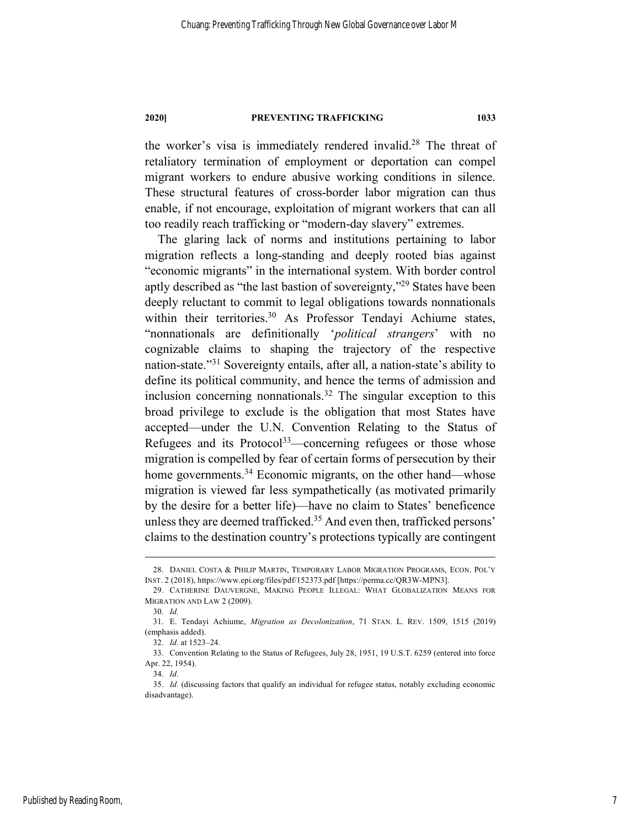the worker's visa is immediately rendered invalid.28 The threat of retaliatory termination of employment or deportation can compel migrant workers to endure abusive working conditions in silence. These structural features of cross-border labor migration can thus enable, if not encourage, exploitation of migrant workers that can all too readily reach trafficking or "modern-day slavery" extremes.

The glaring lack of norms and institutions pertaining to labor migration reflects a long-standing and deeply rooted bias against "economic migrants" in the international system. With border control aptly described as "the last bastion of sovereignty,"29 States have been deeply reluctant to commit to legal obligations towards nonnationals within their territories.<sup>30</sup> As Professor Tendayi Achiume states, "nonnationals are definitionally '*political strangers*' with no cognizable claims to shaping the trajectory of the respective nation-state."31 Sovereignty entails, after all, a nation-state's ability to define its political community, and hence the terms of admission and inclusion concerning nonnationals. <sup>32</sup> The singular exception to this broad privilege to exclude is the obligation that most States have accepted—under the U.N. Convention Relating to the Status of Refugees and its Protocol<sup>33</sup>—concerning refugees or those whose migration is compelled by fear of certain forms of persecution by their home governments.<sup>34</sup> Economic migrants, on the other hand—whose migration is viewed far less sympathetically (as motivated primarily by the desire for a better life)—have no claim to States' beneficence unless they are deemed trafficked. <sup>35</sup> And even then, trafficked persons' claims to the destination country's protections typically are contingent

 <sup>28.</sup> DANIEL COSTA & PHILIP MARTIN, TEMPORARY LABOR MIGRATION PROGRAMS, ECON. POL'Y INST. 2 (2018), https://www.epi.org/files/pdf/152373.pdf [https://perma.cc/QR3W-MPN3].

<sup>29.</sup> CATHERINE DAUVERGNE, MAKING PEOPLE ILLEGAL: WHAT GLOBALIZATION MEANS FOR MIGRATION AND LAW 2 (2009).

<sup>30.</sup> *Id.*

<sup>31.</sup> E. Tendayi Achiume, *Migration as Decolonization*, 71 STAN. L. REV. 1509, 1515 (2019) (emphasis added).

<sup>32.</sup> *Id.* at 1523–24.

<sup>33.</sup> Convention Relating to the Status of Refugees, July 28, 1951, 19 U.S.T. 6259 (entered into force Apr. 22, 1954).

<sup>34.</sup> *Id.*

<sup>35.</sup> *Id.* (discussing factors that qualify an individual for refugee status, notably excluding economic disadvantage).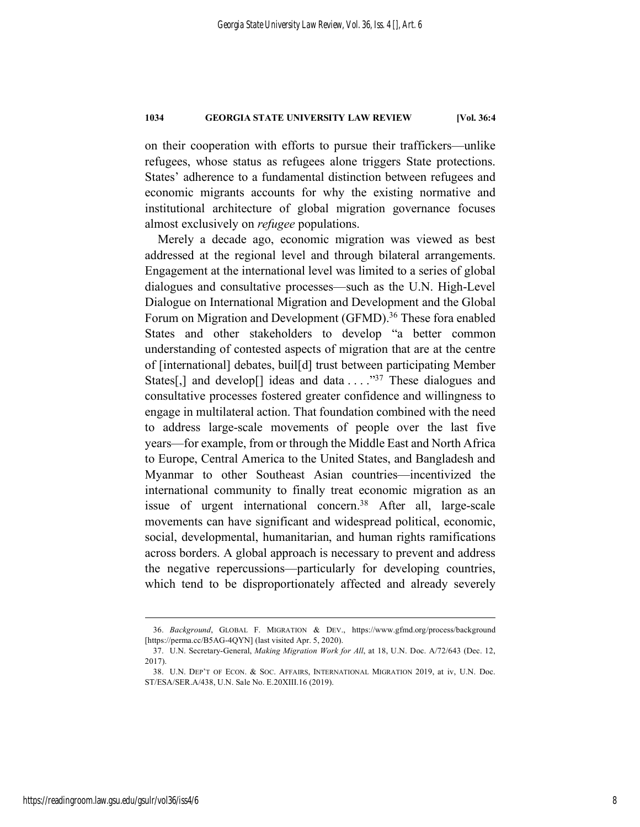on their cooperation with efforts to pursue their traffickers—unlike refugees, whose status as refugees alone triggers State protections. States' adherence to a fundamental distinction between refugees and economic migrants accounts for why the existing normative and institutional architecture of global migration governance focuses almost exclusively on *refugee* populations.

Merely a decade ago, economic migration was viewed as best addressed at the regional level and through bilateral arrangements. Engagement at the international level was limited to a series of global dialogues and consultative processes—such as the U.N. High-Level Dialogue on International Migration and Development and the Global Forum on Migration and Development (GFMD). <sup>36</sup> These fora enabled States and other stakeholders to develop "a better common understanding of contested aspects of migration that are at the centre of [international] debates, buil[d] trust between participating Member States[,] and develop[] ideas and data  $\dots$  ."<sup>37</sup> These dialogues and consultative processes fostered greater confidence and willingness to engage in multilateral action. That foundation combined with the need to address large-scale movements of people over the last five years—for example, from or through the Middle East and North Africa to Europe, Central America to the United States, and Bangladesh and Myanmar to other Southeast Asian countries—incentivized the international community to finally treat economic migration as an issue of urgent international concern.<sup>38</sup> After all, large-scale movements can have significant and widespread political, economic, social, developmental, humanitarian, and human rights ramifications across borders. A global approach is necessary to prevent and address the negative repercussions—particularly for developing countries, which tend to be disproportionately affected and already severely

 <sup>36.</sup> *Background*, GLOBAL F. MIGRATION & DEV., https://www.gfmd.org/process/background [https://perma.cc/B5AG-4QYN] (last visited Apr. 5, 2020).

<sup>37.</sup> U.N. Secretary-General, *Making Migration Work for All*, at 18, U.N. Doc. A/72/643 (Dec. 12, 2017).

<sup>38.</sup> U.N. DEP'T OF ECON. & SOC. AFFAIRS, INTERNATIONAL MIGRATION 2019, at iv, U.N. Doc. ST/ESA/SER.A/438, U.N. Sale No. E.20XIII.16 (2019).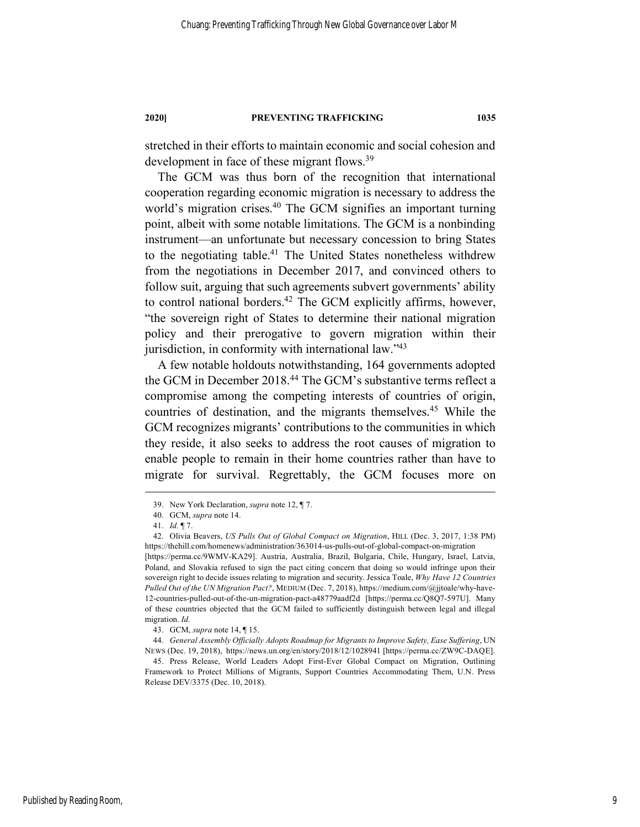stretched in their efforts to maintain economic and social cohesion and development in face of these migrant flows.<sup>39</sup>

The GCM was thus born of the recognition that international cooperation regarding economic migration is necessary to address the world's migration crises.<sup>40</sup> The GCM signifies an important turning point, albeit with some notable limitations. The GCM is a nonbinding instrument—an unfortunate but necessary concession to bring States to the negotiating table.41 The United States nonetheless withdrew from the negotiations in December 2017, and convinced others to follow suit, arguing that such agreements subvert governments' ability to control national borders.<sup>42</sup> The GCM explicitly affirms, however, "the sovereign right of States to determine their national migration policy and their prerogative to govern migration within their jurisdiction, in conformity with international law."<sup>43</sup>

A few notable holdouts notwithstanding, 164 governments adopted the GCM in December 2018.<sup>44</sup> The GCM's substantive terms reflect a compromise among the competing interests of countries of origin, countries of destination, and the migrants themselves.45 While the GCM recognizes migrants' contributions to the communities in which they reside, it also seeks to address the root causes of migration to enable people to remain in their home countries rather than have to migrate for survival. Regrettably, the GCM focuses more on

Published by Reading Room,

 <sup>39.</sup> New York Declaration, *supra* note 12, ¶ 7.

<sup>40.</sup> GCM, *supra* note 14.

<sup>41.</sup> *Id.* ¶ 7.

<sup>42.</sup> Olivia Beavers, *US Pulls Out of Global Compact on Migration*, HILL (Dec. 3, 2017, 1:38 PM) https://thehill.com/homenews/administration/363014-us-pulls-out-of-global-compact-on-migration [https://perma.cc/9WMV-KA29]. Austria, Australia, Brazil, Bulgaria, Chile, Hungary, Israel, Latvia,

Poland, and Slovakia refused to sign the pact citing concern that doing so would infringe upon their sovereign right to decide issues relating to migration and security. Jessica Toale, *Why Have 12 Countries Pulled Out of the UN Migration Pact?*, MEDIUM (Dec. 7, 2018), https://medium.com/@jjtoale/why-have-12-countries-pulled-out-of-the-un-migration-pact-a48779aadf2d [https://perma.cc/Q8Q7-597U]. Many of these countries objected that the GCM failed to sufficiently distinguish between legal and illegal migration. *Id.*

<sup>43.</sup> GCM, *supra* note 14, ¶ 15.

<sup>44.</sup> *General Assembly Officially Adopts Roadmap for Migrants to Improve Safety, Ease Suffering*, UN NEWS (Dec. 19, 2018), https://news.un.org/en/story/2018/12/1028941 [https://perma.cc/ZW9C-DAQE].

<sup>45.</sup> Press Release, World Leaders Adopt First-Ever Global Compact on Migration, Outlining Framework to Protect Millions of Migrants, Support Countries Accommodating Them, U.N. Press Release DEV/3375 (Dec. 10, 2018).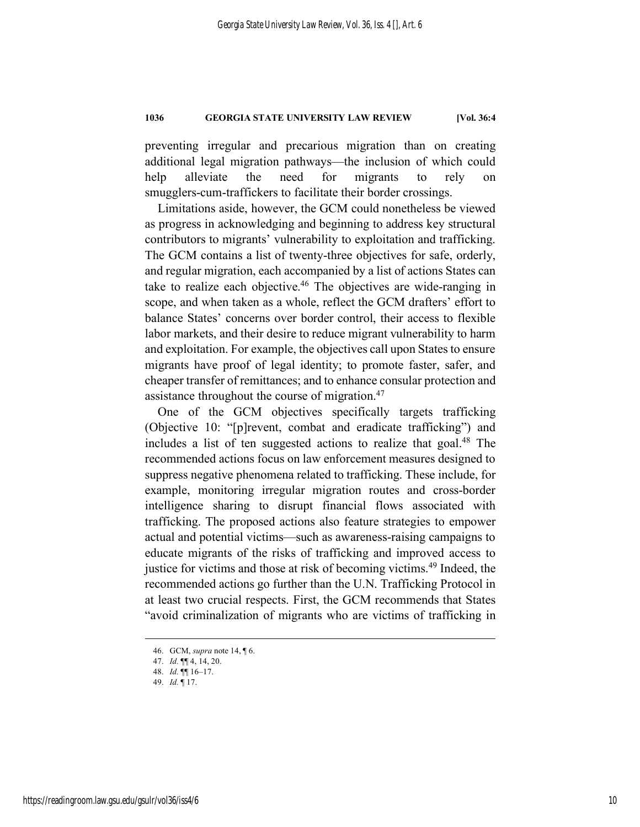preventing irregular and precarious migration than on creating additional legal migration pathways—the inclusion of which could help alleviate the need for migrants to rely on smugglers-cum-traffickers to facilitate their border crossings.

Limitations aside, however, the GCM could nonetheless be viewed as progress in acknowledging and beginning to address key structural contributors to migrants' vulnerability to exploitation and trafficking. The GCM contains a list of twenty-three objectives for safe, orderly, and regular migration, each accompanied by a list of actions States can take to realize each objective.<sup>46</sup> The objectives are wide-ranging in scope, and when taken as a whole, reflect the GCM drafters' effort to balance States' concerns over border control, their access to flexible labor markets, and their desire to reduce migrant vulnerability to harm and exploitation. For example, the objectives call upon States to ensure migrants have proof of legal identity; to promote faster, safer, and cheaper transfer of remittances; and to enhance consular protection and assistance throughout the course of migration.<sup>47</sup>

One of the GCM objectives specifically targets trafficking (Objective 10: "[p]revent, combat and eradicate trafficking") and includes a list of ten suggested actions to realize that goal. $48$  The recommended actions focus on law enforcement measures designed to suppress negative phenomena related to trafficking. These include, for example, monitoring irregular migration routes and cross-border intelligence sharing to disrupt financial flows associated with trafficking. The proposed actions also feature strategies to empower actual and potential victims—such as awareness-raising campaigns to educate migrants of the risks of trafficking and improved access to justice for victims and those at risk of becoming victims.<sup>49</sup> Indeed, the recommended actions go further than the U.N. Trafficking Protocol in at least two crucial respects. First, the GCM recommends that States "avoid criminalization of migrants who are victims of trafficking in

 <sup>46.</sup> GCM, *supra* note 14, ¶ 6.

<sup>47.</sup> *Id.* ¶¶ 4, 14, 20.

<sup>48.</sup> *Id.* ¶¶ 16–17.

<sup>49.</sup> *Id.* ¶ 17.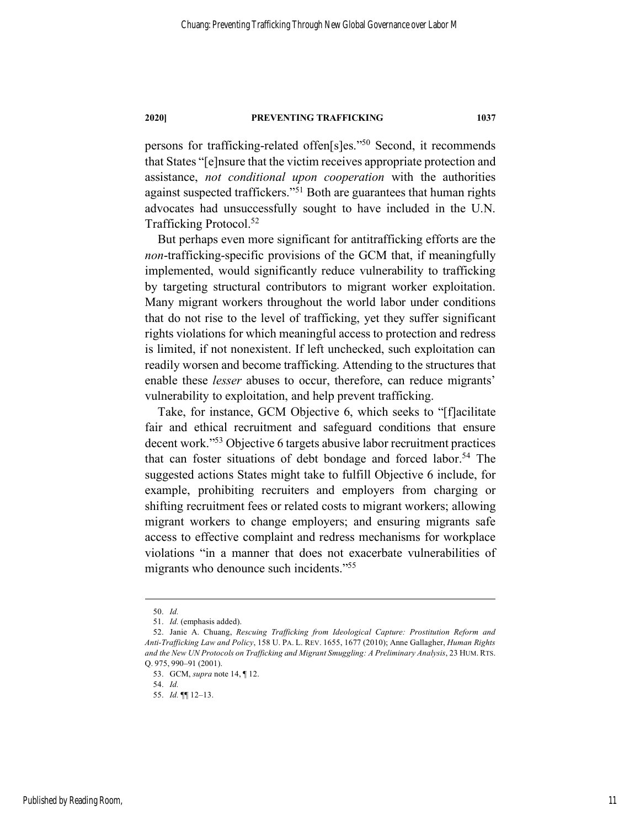persons for trafficking-related offen[s]es."50 Second, it recommends that States "[e]nsure that the victim receives appropriate protection and assistance, *not conditional upon cooperation* with the authorities against suspected traffickers."51 Both are guarantees that human rights advocates had unsuccessfully sought to have included in the U.N. Trafficking Protocol.52

But perhaps even more significant for antitrafficking efforts are the *non*-trafficking-specific provisions of the GCM that, if meaningfully implemented, would significantly reduce vulnerability to trafficking by targeting structural contributors to migrant worker exploitation. Many migrant workers throughout the world labor under conditions that do not rise to the level of trafficking, yet they suffer significant rights violations for which meaningful access to protection and redress is limited, if not nonexistent. If left unchecked, such exploitation can readily worsen and become trafficking. Attending to the structures that enable these *lesser* abuses to occur, therefore, can reduce migrants' vulnerability to exploitation, and help prevent trafficking.

Take, for instance, GCM Objective 6, which seeks to "[f]acilitate fair and ethical recruitment and safeguard conditions that ensure decent work."53 Objective 6 targets abusive labor recruitment practices that can foster situations of debt bondage and forced labor.<sup>54</sup> The suggested actions States might take to fulfill Objective 6 include, for example, prohibiting recruiters and employers from charging or shifting recruitment fees or related costs to migrant workers; allowing migrant workers to change employers; and ensuring migrants safe access to effective complaint and redress mechanisms for workplace violations "in a manner that does not exacerbate vulnerabilities of migrants who denounce such incidents."55

 <sup>50.</sup> *Id.*

<sup>51.</sup> *Id.* (emphasis added).

<sup>52.</sup> Janie A. Chuang, *Rescuing Trafficking from Ideological Capture: Prostitution Reform and Anti-Trafficking Law and Policy*, 158 U. PA. L. REV. 1655, 1677 (2010); Anne Gallagher, *Human Rights and the New UN Protocols on Trafficking and Migrant Smuggling: A Preliminary Analysis*, 23 HUM. RTS. Q. 975, 990–91 (2001).

<sup>53.</sup> GCM, *supra* note 14, ¶ 12.

<sup>54.</sup> *Id.*

<sup>55.</sup> *Id.* ¶¶ 12–13.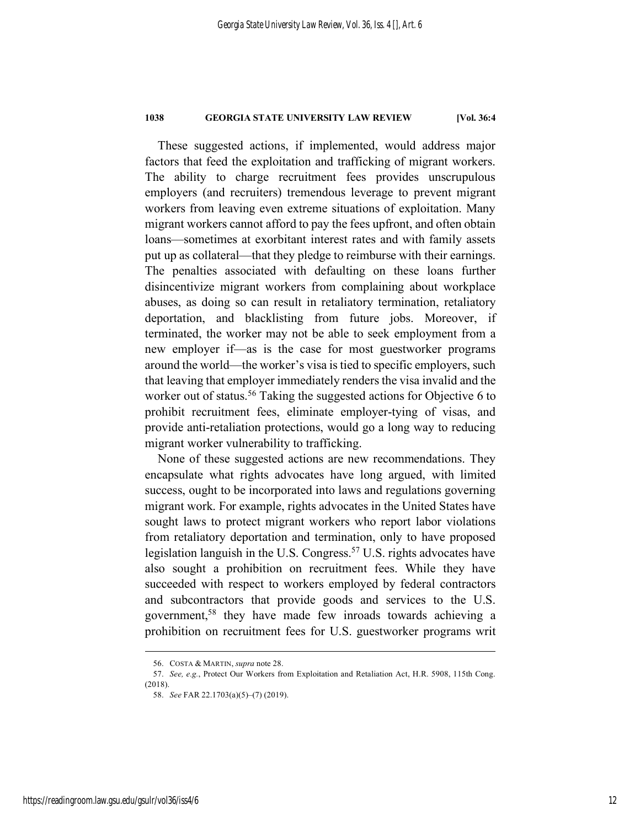These suggested actions, if implemented, would address major factors that feed the exploitation and trafficking of migrant workers. The ability to charge recruitment fees provides unscrupulous employers (and recruiters) tremendous leverage to prevent migrant workers from leaving even extreme situations of exploitation. Many migrant workers cannot afford to pay the fees upfront, and often obtain loans—sometimes at exorbitant interest rates and with family assets put up as collateral—that they pledge to reimburse with their earnings. The penalties associated with defaulting on these loans further disincentivize migrant workers from complaining about workplace abuses, as doing so can result in retaliatory termination, retaliatory deportation, and blacklisting from future jobs. Moreover, if terminated, the worker may not be able to seek employment from a new employer if—as is the case for most guestworker programs around the world—the worker's visa is tied to specific employers, such that leaving that employer immediately renders the visa invalid and the worker out of status.<sup>56</sup> Taking the suggested actions for Objective 6 to prohibit recruitment fees, eliminate employer-tying of visas, and provide anti-retaliation protections, would go a long way to reducing migrant worker vulnerability to trafficking.

None of these suggested actions are new recommendations. They encapsulate what rights advocates have long argued, with limited success, ought to be incorporated into laws and regulations governing migrant work. For example, rights advocates in the United States have sought laws to protect migrant workers who report labor violations from retaliatory deportation and termination, only to have proposed legislation languish in the U.S. Congress.57 U.S. rights advocates have also sought a prohibition on recruitment fees. While they have succeeded with respect to workers employed by federal contractors and subcontractors that provide goods and services to the U.S. government, <sup>58</sup> they have made few inroads towards achieving a prohibition on recruitment fees for U.S. guestworker programs writ

 <sup>56.</sup> COSTA & MARTIN, *supra* note 28.

<sup>57.</sup> *See, e.g.*, Protect Our Workers from Exploitation and Retaliation Act, H.R. 5908, 115th Cong. (2018).

<sup>58.</sup> *See* FAR 22.1703(a)(5)–(7) (2019).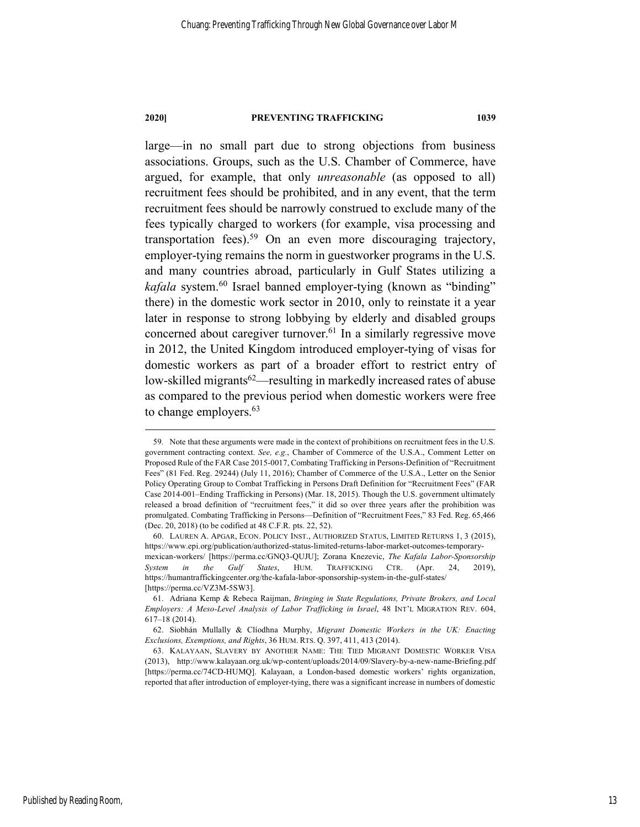large—in no small part due to strong objections from business associations. Groups, such as the U.S. Chamber of Commerce, have argued, for example, that only *unreasonable* (as opposed to all) recruitment fees should be prohibited, and in any event, that the term recruitment fees should be narrowly construed to exclude many of the fees typically charged to workers (for example, visa processing and transportation fees).<sup>59</sup> On an even more discouraging trajectory, employer-tying remains the norm in guestworker programs in the U.S. and many countries abroad, particularly in Gulf States utilizing a *kafala* system. <sup>60</sup> Israel banned employer-tying (known as "binding" there) in the domestic work sector in 2010, only to reinstate it a year later in response to strong lobbying by elderly and disabled groups concerned about caregiver turnover. <sup>61</sup> In a similarly regressive move in 2012, the United Kingdom introduced employer-tying of visas for domestic workers as part of a broader effort to restrict entry of low-skilled migrants<sup>62</sup>—resulting in markedly increased rates of abuse as compared to the previous period when domestic workers were free to change employers.<sup>63</sup>

 <sup>59</sup>*.* Note that these arguments were made in the context of prohibitions on recruitment fees in the U.S. government contracting context. *See, e.g.*, Chamber of Commerce of the U.S.A., Comment Letter on Proposed Rule of the FAR Case 2015-0017, Combating Trafficking in Persons-Definition of "Recruitment Fees" (81 Fed. Reg. 29244) (July 11, 2016); Chamber of Commerce of the U.S.A., Letter on the Senior Policy Operating Group to Combat Trafficking in Persons Draft Definition for "Recruitment Fees" (FAR Case 2014-001–Ending Trafficking in Persons) (Mar. 18, 2015). Though the U.S. government ultimately released a broad definition of "recruitment fees," it did so over three years after the prohibition was promulgated. Combating Trafficking in Persons—Definition of "Recruitment Fees," 83 Fed. Reg. 65,466 (Dec. 20, 2018) (to be codified at 48 C.F.R. pts. 22, 52).

<sup>60.</sup> LAUREN A. APGAR, ECON. POLICY INST., AUTHORIZED STATUS, LIMITED RETURNS 1, 3 (2015), https://www.epi.org/publication/authorized-status-limited-returns-labor-market-outcomes-temporarymexican-workers/ [https://perma.cc/GNQ3-QUJU]; Zorana Knezevic, *The Kafala Labor-Sponsorship System in the Gulf States*, HUM. TRAFFICKING CTR. (Apr. 24, 2019), https://humantraffickingcenter.org/the-kafala-labor-sponsorship-system-in-the-gulf-states/ [https://perma.cc/VZ3M-5SW3].

<sup>61.</sup> Adriana Kemp & Rebeca Raijman, *Bringing in State Regulations, Private Brokers, and Local Employers: A Meso-Level Analysis of Labor Trafficking in Israel*, 48 INT'L MIGRATION REV. 604, 617–18 (2014).

<sup>62.</sup> Siobhán Mullally & Clíodhna Murphy, *Migrant Domestic Workers in the UK: Enacting Exclusions, Exemptions, and Rights*, 36 HUM. RTS. Q. 397, 411, 413 (2014).

<sup>63.</sup> KALAYAAN, SLAVERY BY ANOTHER NAME: THE TIED MIGRANT DOMESTIC WORKER VISA (2013), http://www.kalayaan.org.uk/wp-content/uploads/2014/09/Slavery-by-a-new-name-Briefing.pdf [https://perma.cc/74CD-HUMQ]. Kalayaan, a London-based domestic workers' rights organization, reported that after introduction of employer-tying, there was a significant increase in numbers of domestic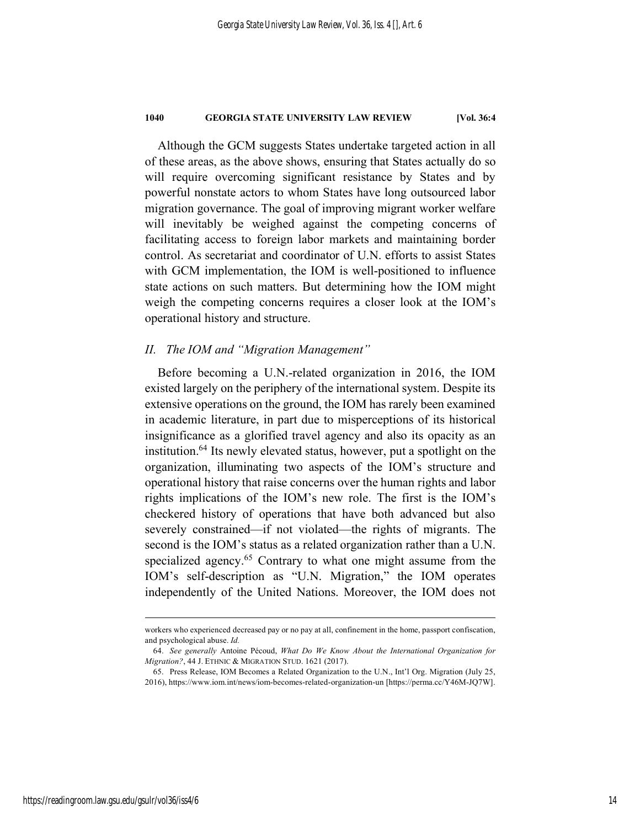Although the GCM suggests States undertake targeted action in all of these areas, as the above shows, ensuring that States actually do so will require overcoming significant resistance by States and by powerful nonstate actors to whom States have long outsourced labor migration governance. The goal of improving migrant worker welfare will inevitably be weighed against the competing concerns of facilitating access to foreign labor markets and maintaining border control. As secretariat and coordinator of U.N. efforts to assist States with GCM implementation, the IOM is well-positioned to influence state actions on such matters. But determining how the IOM might weigh the competing concerns requires a closer look at the IOM's operational history and structure.

# *II. The IOM and "Migration Management"*

Before becoming a U.N.-related organization in 2016, the IOM existed largely on the periphery of the international system. Despite its extensive operations on the ground, the IOM has rarely been examined in academic literature, in part due to misperceptions of its historical insignificance as a glorified travel agency and also its opacity as an institution.64 Its newly elevated status, however, put a spotlight on the organization, illuminating two aspects of the IOM's structure and operational history that raise concerns over the human rights and labor rights implications of the IOM's new role. The first is the IOM's checkered history of operations that have both advanced but also severely constrained—if not violated—the rights of migrants. The second is the IOM's status as a related organization rather than a U.N. specialized agency.<sup>65</sup> Contrary to what one might assume from the IOM's self-description as "U.N. Migration," the IOM operates independently of the United Nations. Moreover, the IOM does not

workers who experienced decreased pay or no pay at all, confinement in the home, passport confiscation, and psychological abuse. *Id.*

<sup>64.</sup> *See generally* Antoine Pécoud, *What Do We Know About the International Organization for Migration?*, 44 J. ETHNIC & MIGRATION STUD. 1621 (2017).

<sup>65.</sup> Press Release, IOM Becomes a Related Organization to the U.N., Int'l Org. Migration (July 25, 2016), https://www.iom.int/news/iom-becomes-related-organization-un [https://perma.cc/Y46M-JQ7W].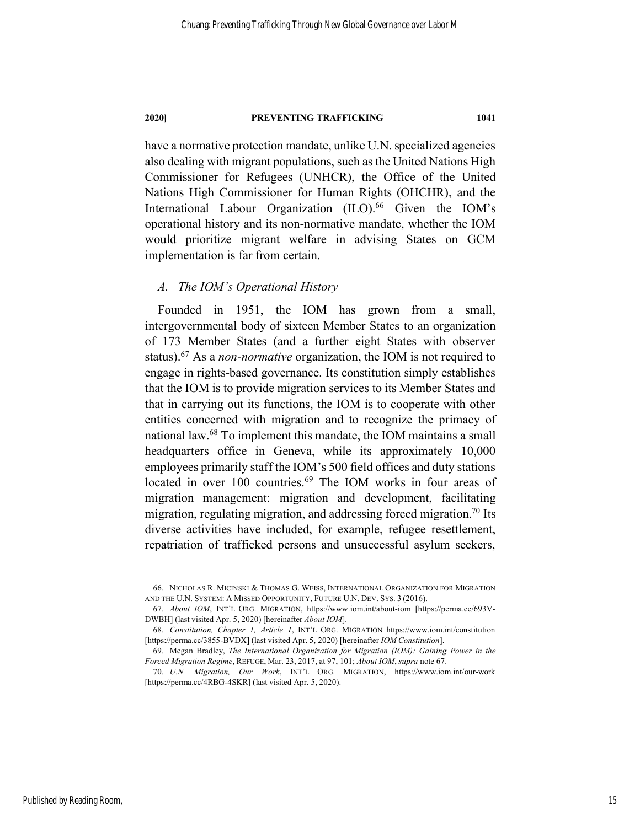have a normative protection mandate, unlike U.N. specialized agencies also dealing with migrant populations, such asthe United Nations High Commissioner for Refugees (UNHCR), the Office of the United Nations High Commissioner for Human Rights (OHCHR), and the International Labour Organization (ILO).<sup>66</sup> Given the IOM's operational history and its non-normative mandate, whether the IOM would prioritize migrant welfare in advising States on GCM implementation is far from certain.

# *A. The IOM's Operational History*

Founded in 1951, the IOM has grown from a small, intergovernmental body of sixteen Member States to an organization of 173 Member States (and a further eight States with observer status).67 As a *non-normative* organization, the IOM is not required to engage in rights-based governance. Its constitution simply establishes that the IOM is to provide migration services to its Member States and that in carrying out its functions, the IOM is to cooperate with other entities concerned with migration and to recognize the primacy of national law.68 To implement this mandate, the IOM maintains a small headquarters office in Geneva, while its approximately 10,000 employees primarily staff the IOM's 500 field offices and duty stations located in over 100 countries.<sup>69</sup> The IOM works in four areas of migration management: migration and development, facilitating migration, regulating migration, and addressing forced migration.<sup>70</sup> Its diverse activities have included, for example, refugee resettlement, repatriation of trafficked persons and unsuccessful asylum seekers,

 <sup>66.</sup> NICHOLAS R. MICINSKI & THOMAS G. WEISS, INTERNATIONAL ORGANIZATION FOR MIGRATION AND THE U.N. SYSTEM: A MISSED OPPORTUNITY, FUTURE U.N. DEV. SYS. 3 (2016).

<sup>67.</sup> *About IOM*, INT'L ORG. MIGRATION, https://www.iom.int/about-iom [https://perma.cc/693V-DWBH] (last visited Apr. 5, 2020) [hereinafter *About IOM*].

<sup>68.</sup> *Constitution, Chapter 1, Article 1*, INT'L ORG. MIGRATION https://www.iom.int/constitution [https://perma.cc/3855-BVDX] (last visited Apr. 5, 2020) [hereinafter *IOM Constitution*].

<sup>69.</sup> Megan Bradley, *The International Organization for Migration (IOM): Gaining Power in the Forced Migration Regime*, REFUGE, Mar. 23, 2017, at 97, 101; *About IOM*, *supra* note 67.

<sup>70.</sup> *U.N. Migration, Our Work*, INT'L ORG. MIGRATION, https://www.iom.int/our-work [https://perma.cc/4RBG-4SKR] (last visited Apr. 5, 2020).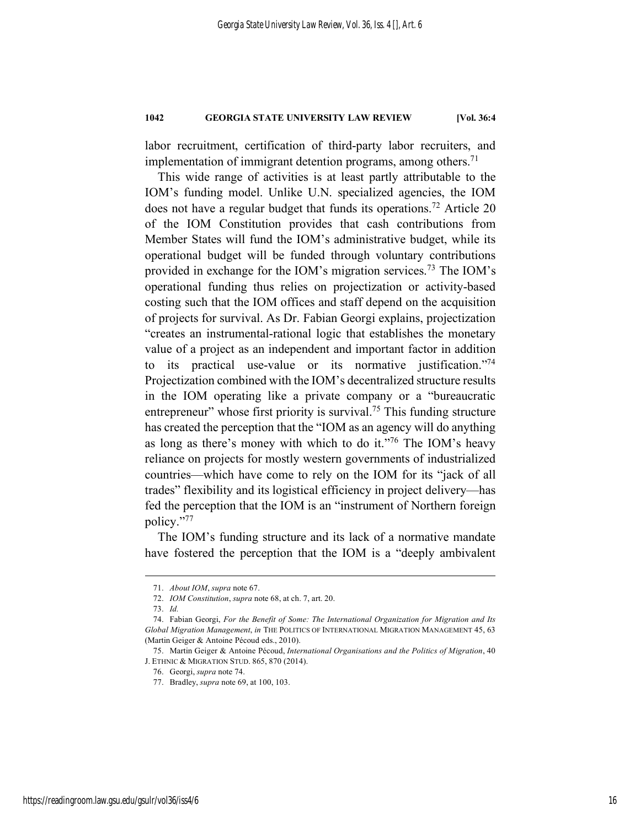labor recruitment, certification of third-party labor recruiters, and implementation of immigrant detention programs, among others. 71

This wide range of activities is at least partly attributable to the IOM's funding model. Unlike U.N. specialized agencies, the IOM does not have a regular budget that funds its operations.<sup>72</sup> Article 20 of the IOM Constitution provides that cash contributions from Member States will fund the IOM's administrative budget, while its operational budget will be funded through voluntary contributions provided in exchange for the IOM's migration services.73 The IOM's operational funding thus relies on projectization or activity-based costing such that the IOM offices and staff depend on the acquisition of projects for survival. As Dr. Fabian Georgi explains, projectization "creates an instrumental-rational logic that establishes the monetary value of a project as an independent and important factor in addition to its practical use-value or its normative justification.<sup>774</sup> Projectization combined with the IOM's decentralized structure results in the IOM operating like a private company or a "bureaucratic entrepreneur" whose first priority is survival.<sup>75</sup> This funding structure has created the perception that the "IOM as an agency will do anything as long as there's money with which to do it."76 The IOM's heavy reliance on projects for mostly western governments of industrialized countries—which have come to rely on the IOM for its "jack of all trades" flexibility and its logistical efficiency in project delivery—has fed the perception that the IOM is an "instrument of Northern foreign policy."77

The IOM's funding structure and its lack of a normative mandate have fostered the perception that the IOM is a "deeply ambivalent

 <sup>71.</sup> *About IOM*, *supra* note 67.

<sup>72.</sup> *IOM Constitution*, *supra* note 68, at ch. 7, art. 20.

<sup>73.</sup> *Id.*

<sup>74.</sup> Fabian Georgi, *For the Benefit of Some: The International Organization for Migration and Its Global Migration Management*, *in* THE POLITICS OF INTERNATIONAL MIGRATION MANAGEMENT 45, 63 (Martin Geiger & Antoine Pécoud eds., 2010).

<sup>75.</sup> Martin Geiger & Antoine Pécoud, *International Organisations and the Politics of Migration*, 40 J. ETHNIC & MIGRATION STUD. 865, 870 (2014).

<sup>76.</sup> Georgi, *supra* note 74.

<sup>77.</sup> Bradley, *supra* note 69, at 100, 103.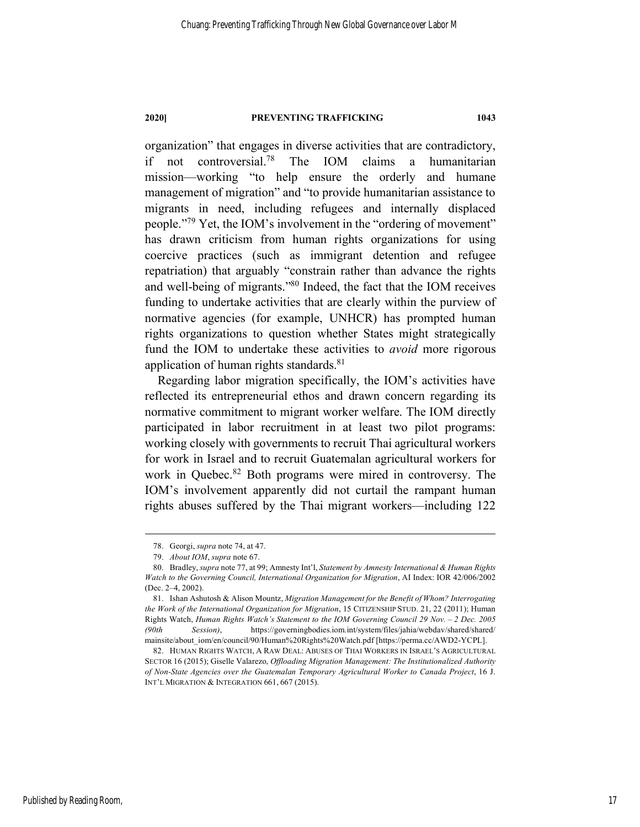organization" that engages in diverse activities that are contradictory, if not controversial.78 The IOM claims a humanitarian mission—working "to help ensure the orderly and humane management of migration" and "to provide humanitarian assistance to migrants in need, including refugees and internally displaced people."79 Yet, the IOM's involvement in the "ordering of movement" has drawn criticism from human rights organizations for using coercive practices (such as immigrant detention and refugee repatriation) that arguably "constrain rather than advance the rights and well-being of migrants."80 Indeed, the fact that the IOM receives funding to undertake activities that are clearly within the purview of normative agencies (for example, UNHCR) has prompted human rights organizations to question whether States might strategically fund the IOM to undertake these activities to *avoid* more rigorous application of human rights standards.<sup>81</sup>

Regarding labor migration specifically, the IOM's activities have reflected its entrepreneurial ethos and drawn concern regarding its normative commitment to migrant worker welfare. The IOM directly participated in labor recruitment in at least two pilot programs: working closely with governments to recruit Thai agricultural workers for work in Israel and to recruit Guatemalan agricultural workers for work in Quebec.<sup>82</sup> Both programs were mired in controversy. The IOM's involvement apparently did not curtail the rampant human rights abuses suffered by the Thai migrant workers—including 122

 <sup>78.</sup> Georgi, *supra* note 74, at 47.

<sup>79.</sup> *About IOM*, *supra* note 67.

<sup>80.</sup> Bradley, *supra* note 77, at 99; Amnesty Int'l, *Statement by Amnesty International & Human Rights Watch to the Governing Council, International Organization for Migration*, AI Index: IOR 42/006/2002 (Dec. 2–4, 2002).

<sup>81.</sup> Ishan Ashutosh & Alison Mountz, *Migration Management for the Benefit of Whom? Interrogating the Work of the International Organization for Migration*, 15 CITIZENSHIP STUD. 21, 22 (2011); Human Rights Watch, *Human Rights Watch's Statement to the IOM Governing Council 29 Nov. – 2 Dec. 2005 (90th Session)*, https://governingbodies.iom.int/system/files/jahia/webdav/shared/shared/ mainsite/about\_iom/en/council/90/Human%20Rights%20Watch.pdf [https://perma.cc/AWD2-YCPL].

<sup>82.</sup> HUMAN RIGHTS WATCH, A RAW DEAL: ABUSES OF THAI WORKERS IN ISRAEL'S AGRICULTURAL SECTOR 16 (2015); Giselle Valarezo, *Offloading Migration Management: The Institutionalized Authority of Non-State Agencies over the Guatemalan Temporary Agricultural Worker to Canada Project*, 16 J. INT'L MIGRATION & INTEGRATION 661, 667 (2015).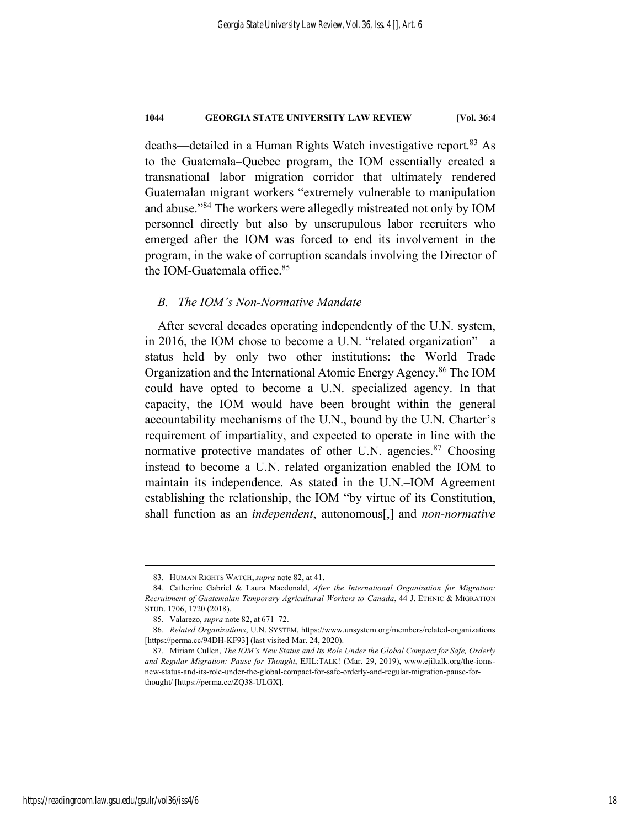deaths—detailed in a Human Rights Watch investigative report. <sup>83</sup> As to the Guatemala–Quebec program, the IOM essentially created a transnational labor migration corridor that ultimately rendered Guatemalan migrant workers "extremely vulnerable to manipulation and abuse."84 The workers were allegedly mistreated not only by IOM personnel directly but also by unscrupulous labor recruiters who emerged after the IOM was forced to end its involvement in the program, in the wake of corruption scandals involving the Director of the IOM-Guatemala office. 85

# *B. The IOM's Non-Normative Mandate*

After several decades operating independently of the U.N. system, in 2016, the IOM chose to become a U.N. "related organization"—a status held by only two other institutions: the World Trade Organization and the International Atomic Energy Agency. <sup>86</sup> The IOM could have opted to become a U.N. specialized agency. In that capacity, the IOM would have been brought within the general accountability mechanisms of the U.N., bound by the U.N. Charter's requirement of impartiality, and expected to operate in line with the normative protective mandates of other U.N. agencies.<sup>87</sup> Choosing instead to become a U.N. related organization enabled the IOM to maintain its independence. As stated in the U.N.–IOM Agreement establishing the relationship, the IOM "by virtue of its Constitution, shall function as an *independent*, autonomous[,] and *non-normative*

 <sup>83.</sup> HUMAN RIGHTS WATCH, *supra* note 82, at 41.

<sup>84.</sup> Catherine Gabriel & Laura Macdonald, *After the International Organization for Migration: Recruitment of Guatemalan Temporary Agricultural Workers to Canada*, 44 J. ETHNIC & MIGRATION STUD. 1706, 1720 (2018).

<sup>85.</sup> Valarezo, *supra* note 82, at 671–72.

<sup>86.</sup> *Related Organizations*, U.N. SYSTEM, https://www.unsystem.org/members/related-organizations [https://perma.cc/94DH-KF93] (last visited Mar. 24, 2020).

<sup>87.</sup> Miriam Cullen, *The IOM's New Status and Its Role Under the Global Compact for Safe, Orderly and Regular Migration: Pause for Thought*, EJIL:TALK! (Mar. 29, 2019), www.ejiltalk.org/the-iomsnew-status-and-its-role-under-the-global-compact-for-safe-orderly-and-regular-migration-pause-forthought/ [https://perma.cc/ZQ38-ULGX].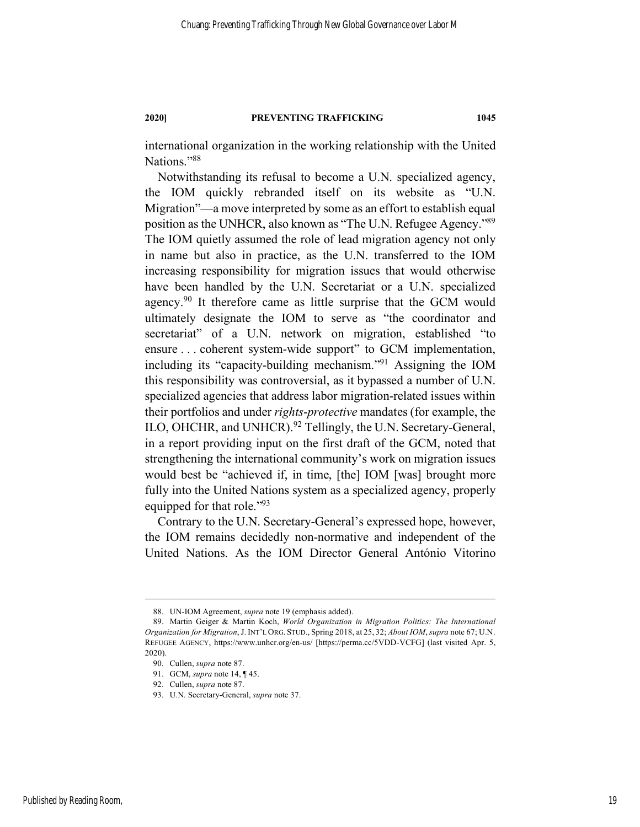international organization in the working relationship with the United Nations."88

Notwithstanding its refusal to become a U.N. specialized agency, the IOM quickly rebranded itself on its website as "U.N. Migration"—a move interpreted by some as an effort to establish equal position as the UNHCR, also known as "The U.N. Refugee Agency."89 The IOM quietly assumed the role of lead migration agency not only in name but also in practice, as the U.N. transferred to the IOM increasing responsibility for migration issues that would otherwise have been handled by the U.N. Secretariat or a U.N. specialized agency.<sup>90</sup> It therefore came as little surprise that the GCM would ultimately designate the IOM to serve as "the coordinator and secretariat" of a U.N. network on migration, established "to ensure . . . coherent system-wide support" to GCM implementation, including its "capacity-building mechanism."91 Assigning the IOM this responsibility was controversial, as it bypassed a number of U.N. specialized agencies that address labor migration-related issues within their portfolios and under *rights*-*protective* mandates (for example, the ILO, OHCHR, and UNHCR).<sup>92</sup> Tellingly, the U.N. Secretary-General, in a report providing input on the first draft of the GCM, noted that strengthening the international community's work on migration issues would best be "achieved if, in time, [the] IOM [was] brought more fully into the United Nations system as a specialized agency, properly equipped for that role."93

Contrary to the U.N. Secretary-General's expressed hope, however, the IOM remains decidedly non-normative and independent of the United Nations. As the IOM Director General António Vitorino

 <sup>88.</sup> UN-IOM Agreement, *supra* note 19 (emphasis added).

<sup>89.</sup> Martin Geiger & Martin Koch, *World Organization in Migration Politics: The International Organization for Migration*, J. INT'L ORG. STUD., Spring 2018, at 25, 32; *About IOM*, *supra* note 67; U.N. REFUGEE AGENCY, https://www.unhcr.org/en-us/ [https://perma.cc/5VDD-VCFG] (last visited Apr. 5, 2020).

<sup>90.</sup> Cullen, *supra* note 87.

<sup>91.</sup> GCM, *supra* note 14, ¶ 45.

<sup>92.</sup> Cullen, *supra* note 87.

<sup>93.</sup> U.N. Secretary-General, *supra* note 37.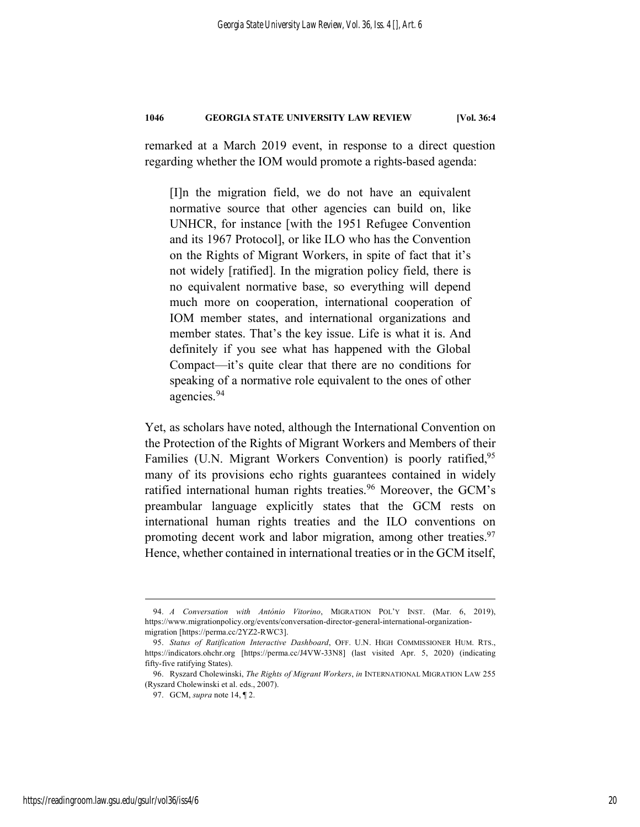remarked at a March 2019 event, in response to a direct question regarding whether the IOM would promote a rights-based agenda:

[I]n the migration field, we do not have an equivalent normative source that other agencies can build on, like UNHCR, for instance [with the 1951 Refugee Convention and its 1967 Protocol], or like ILO who has the Convention on the Rights of Migrant Workers, in spite of fact that it's not widely [ratified]. In the migration policy field, there is no equivalent normative base, so everything will depend much more on cooperation, international cooperation of IOM member states, and international organizations and member states. That's the key issue. Life is what it is. And definitely if you see what has happened with the Global Compact—it's quite clear that there are no conditions for speaking of a normative role equivalent to the ones of other agencies. 94

Yet, as scholars have noted, although the International Convention on the Protection of the Rights of Migrant Workers and Members of their Families (U.N. Migrant Workers Convention) is poorly ratified,<sup>95</sup> many of its provisions echo rights guarantees contained in widely ratified international human rights treaties.<sup>96</sup> Moreover, the GCM's preambular language explicitly states that the GCM rests on international human rights treaties and the ILO conventions on promoting decent work and labor migration, among other treaties.<sup>97</sup> Hence, whether contained in international treaties or in the GCM itself,

 <sup>94.</sup> *A Conversation with António Vitorino*, MIGRATION POL'Y INST. (Mar. 6, 2019), https://www.migrationpolicy.org/events/conversation-director-general-international-organizationmigration [https://perma.cc/2YZ2-RWC3].

<sup>95.</sup> *Status of Ratification Interactive Dashboard*, OFF. U.N. HIGH COMMISSIONER HUM. RTS., https://indicators.ohchr.org [https://perma.cc/J4VW-33N8] (last visited Apr. 5, 2020) (indicating fifty-five ratifying States).

<sup>96.</sup> Ryszard Cholewinski, *The Rights of Migrant Workers*, *in* INTERNATIONAL MIGRATION LAW 255 (Ryszard Cholewinski et al. eds., 2007).

<sup>97.</sup> GCM, *supra* note 14, ¶ 2.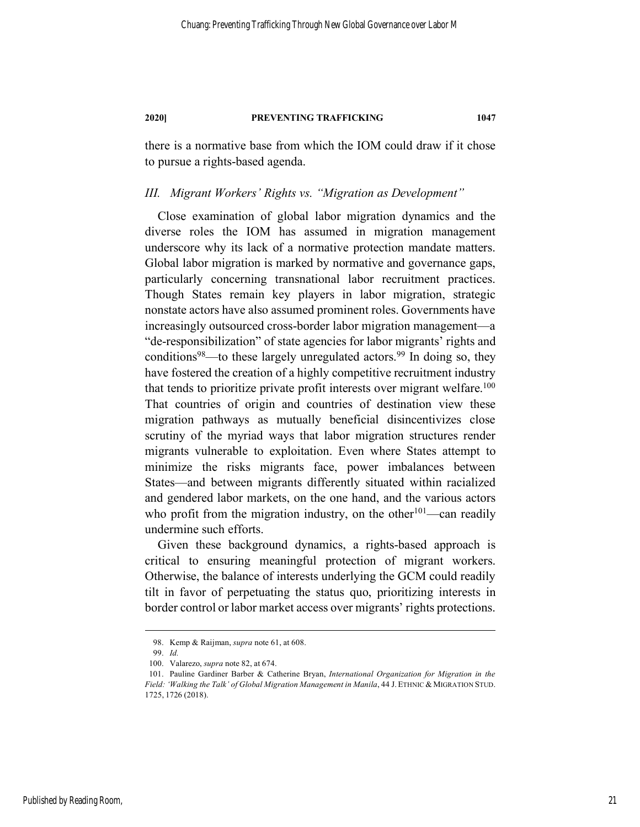there is a normative base from which the IOM could draw if it chose to pursue a rights-based agenda.

# *III. Migrant Workers' Rights vs. "Migration as Development"*

Close examination of global labor migration dynamics and the diverse roles the IOM has assumed in migration management underscore why its lack of a normative protection mandate matters. Global labor migration is marked by normative and governance gaps, particularly concerning transnational labor recruitment practices. Though States remain key players in labor migration, strategic nonstate actors have also assumed prominent roles. Governments have increasingly outsourced cross-border labor migration management—a "de-responsibilization" of state agencies for labor migrants' rights and conditions<sup>98</sup>—to these largely unregulated actors.<sup>99</sup> In doing so, they have fostered the creation of a highly competitive recruitment industry that tends to prioritize private profit interests over migrant welfare.<sup>100</sup> That countries of origin and countries of destination view these migration pathways as mutually beneficial disincentivizes close scrutiny of the myriad ways that labor migration structures render migrants vulnerable to exploitation. Even where States attempt to minimize the risks migrants face, power imbalances between States—and between migrants differently situated within racialized and gendered labor markets, on the one hand, and the various actors who profit from the migration industry, on the other<sup>101</sup>—can readily undermine such efforts.

Given these background dynamics, a rights-based approach is critical to ensuring meaningful protection of migrant workers. Otherwise, the balance of interests underlying the GCM could readily tilt in favor of perpetuating the status quo, prioritizing interests in border control or labor market access over migrants' rights protections.

 <sup>98.</sup> Kemp & Raijman, *supra* note 61, at 608.

<sup>99.</sup> *Id.*

<sup>100.</sup> Valarezo, *supra* note 82, at 674.

<sup>101.</sup> Pauline Gardiner Barber & Catherine Bryan, *International Organization for Migration in the Field: 'Walking the Talk' of Global Migration Management in Manila*, 44 J.ETHNIC & MIGRATION STUD. 1725, 1726 (2018).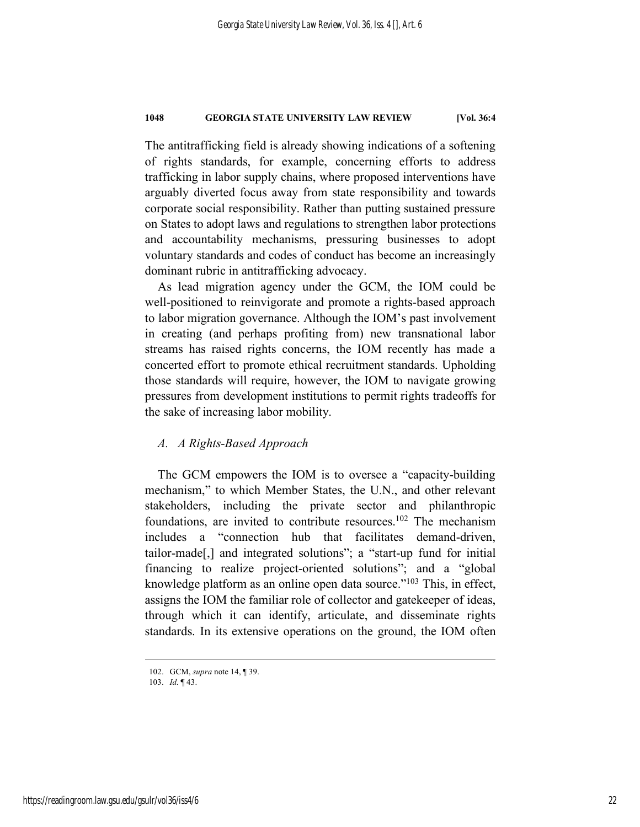The antitrafficking field is already showing indications of a softening of rights standards, for example, concerning efforts to address trafficking in labor supply chains, where proposed interventions have arguably diverted focus away from state responsibility and towards corporate social responsibility. Rather than putting sustained pressure on States to adopt laws and regulations to strengthen labor protections and accountability mechanisms, pressuring businesses to adopt voluntary standards and codes of conduct has become an increasingly dominant rubric in antitrafficking advocacy.

As lead migration agency under the GCM, the IOM could be well-positioned to reinvigorate and promote a rights-based approach to labor migration governance. Although the IOM's past involvement in creating (and perhaps profiting from) new transnational labor streams has raised rights concerns, the IOM recently has made a concerted effort to promote ethical recruitment standards. Upholding those standards will require, however, the IOM to navigate growing pressures from development institutions to permit rights tradeoffs for the sake of increasing labor mobility.

# *A. A Rights-Based Approach*

The GCM empowers the IOM is to oversee a "capacity-building mechanism," to which Member States, the U.N., and other relevant stakeholders, including the private sector and philanthropic foundations, are invited to contribute resources.<sup>102</sup> The mechanism includes a "connection hub that facilitates demand-driven, tailor-made[,] and integrated solutions"; a "start-up fund for initial financing to realize project-oriented solutions"; and a "global knowledge platform as an online open data source."<sup>103</sup> This, in effect, assigns the IOM the familiar role of collector and gatekeeper of ideas, through which it can identify, articulate, and disseminate rights standards. In its extensive operations on the ground, the IOM often

 <sup>102.</sup> GCM, *supra* note 14, ¶ 39.

<sup>103.</sup> *Id.* ¶ 43.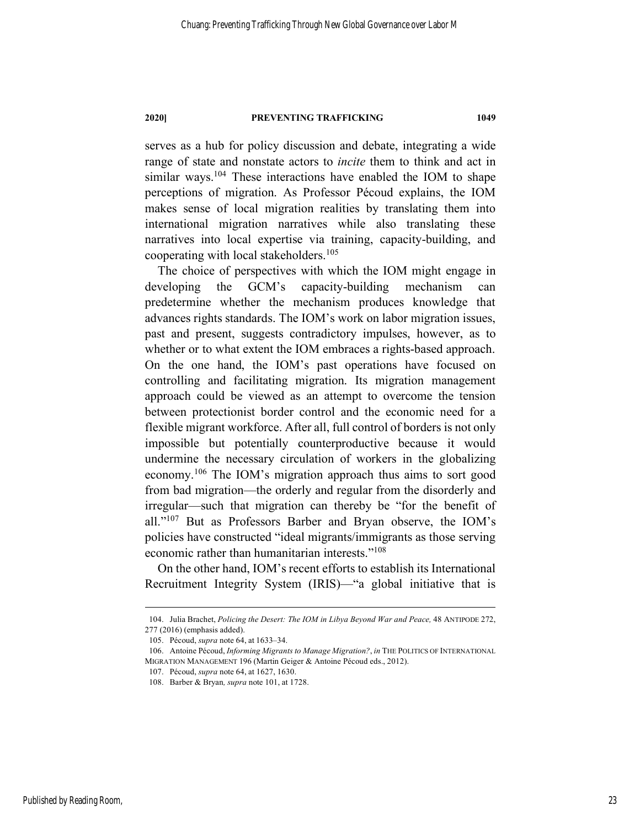serves as a hub for policy discussion and debate, integrating a wide range of state and nonstate actors to *incite* them to think and act in similar ways.<sup>104</sup> These interactions have enabled the IOM to shape perceptions of migration. As Professor Pécoud explains, the IOM makes sense of local migration realities by translating them into international migration narratives while also translating these narratives into local expertise via training, capacity-building, and cooperating with local stakeholders. 105

The choice of perspectives with which the IOM might engage in developing the GCM's capacity-building mechanism can predetermine whether the mechanism produces knowledge that advances rights standards. The IOM's work on labor migration issues, past and present, suggests contradictory impulses, however, as to whether or to what extent the IOM embraces a rights-based approach. On the one hand, the IOM's past operations have focused on controlling and facilitating migration. Its migration management approach could be viewed as an attempt to overcome the tension between protectionist border control and the economic need for a flexible migrant workforce. After all, full control of borders is not only impossible but potentially counterproductive because it would undermine the necessary circulation of workers in the globalizing economy.106 The IOM's migration approach thus aims to sort good from bad migration—the orderly and regular from the disorderly and irregular—such that migration can thereby be "for the benefit of all."107 But as Professors Barber and Bryan observe, the IOM's policies have constructed "ideal migrants/immigrants as those serving economic rather than humanitarian interests."108

On the other hand, IOM's recent efforts to establish its International Recruitment Integrity System (IRIS)—"a global initiative that is

 <sup>104.</sup> Julia Brachet, *Policing the Desert: The IOM in Libya Beyond War and Peace,* 48 ANTIPODE 272, 277 (2016) (emphasis added).

<sup>105.</sup> Pécoud, *supra* note 64, at 1633–34.

<sup>106.</sup> Antoine Pécoud, *Informing Migrants to Manage Migration?*, *in* THE POLITICS OF INTERNATIONAL MIGRATION MANAGEMENT 196 (Martin Geiger & Antoine Pécoud eds., 2012).

<sup>107.</sup> Pécoud, *supra* note 64, at 1627, 1630.

<sup>108.</sup> Barber & Bryan*, supra* note 101, at 1728.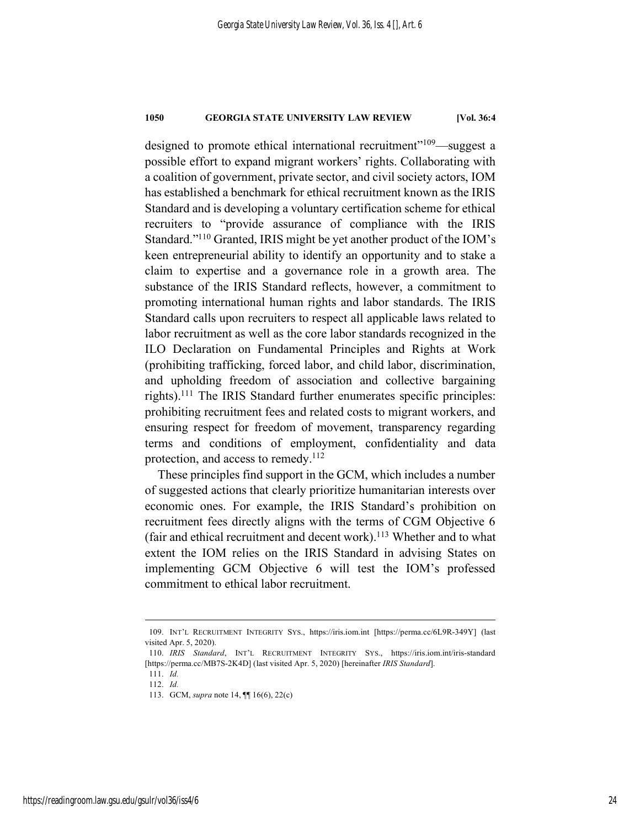designed to promote ethical international recruitment"109—suggest a possible effort to expand migrant workers' rights. Collaborating with a coalition of government, private sector, and civil society actors, IOM has established a benchmark for ethical recruitment known as the IRIS Standard and is developing a voluntary certification scheme for ethical recruiters to "provide assurance of compliance with the IRIS Standard."110 Granted, IRIS might be yet another product of the IOM's keen entrepreneurial ability to identify an opportunity and to stake a claim to expertise and a governance role in a growth area. The substance of the IRIS Standard reflects, however, a commitment to promoting international human rights and labor standards. The IRIS Standard calls upon recruiters to respect all applicable laws related to labor recruitment as well as the core labor standards recognized in the ILO Declaration on Fundamental Principles and Rights at Work (prohibiting trafficking, forced labor, and child labor, discrimination, and upholding freedom of association and collective bargaining rights).111 The IRIS Standard further enumerates specific principles: prohibiting recruitment fees and related costs to migrant workers, and ensuring respect for freedom of movement, transparency regarding terms and conditions of employment, confidentiality and data protection, and access to remedy.<sup>112</sup>

These principles find support in the GCM, which includes a number of suggested actions that clearly prioritize humanitarian interests over economic ones. For example, the IRIS Standard's prohibition on recruitment fees directly aligns with the terms of CGM Objective 6 (fair and ethical recruitment and decent work). <sup>113</sup> Whether and to what extent the IOM relies on the IRIS Standard in advising States on implementing GCM Objective 6 will test the IOM's professed commitment to ethical labor recruitment.

 <sup>109.</sup> INT'L RECRUITMENT INTEGRITY SYS., https://iris.iom.int [https://perma.cc/6L9R-349Y] (last visited Apr. 5, 2020).

<sup>110.</sup> *IRIS Standard*, INT'L RECRUITMENT INTEGRITY SYS., https://iris.iom.int/iris-standard [https://perma.cc/MB7S-2K4D] (last visited Apr. 5, 2020) [hereinafter *IRIS Standard*].

<sup>111.</sup> *Id.*

<sup>112.</sup> *Id.*

<sup>113.</sup> GCM, *supra* note 14, ¶¶ 16(6), 22(c)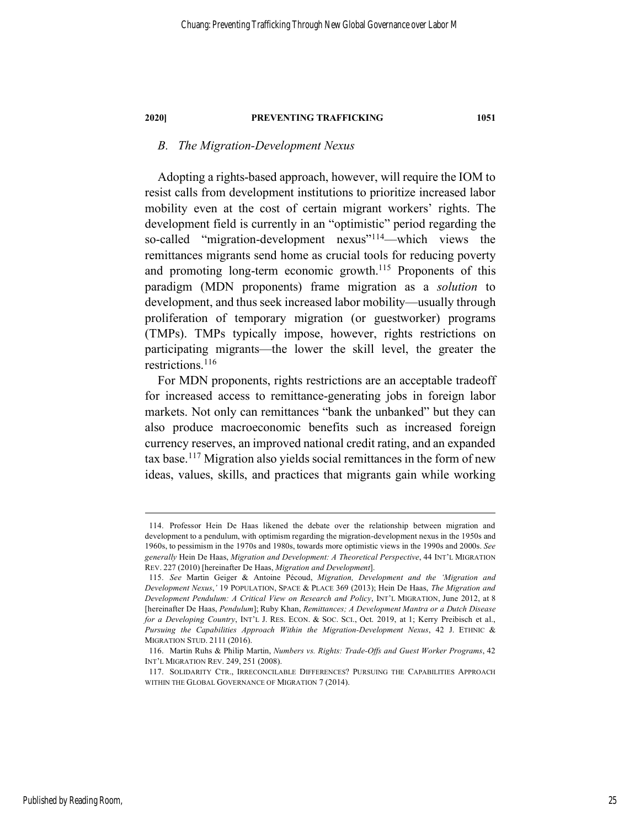# *B. The Migration-Development Nexus*

Adopting a rights-based approach, however, will require the IOM to resist calls from development institutions to prioritize increased labor mobility even at the cost of certain migrant workers' rights. The development field is currently in an "optimistic" period regarding the so-called "migration-development nexus"<sup>114</sup>—which views the remittances migrants send home as crucial tools for reducing poverty and promoting long-term economic growth.<sup>115</sup> Proponents of this paradigm (MDN proponents) frame migration as a *solution* to development, and thus seek increased labor mobility—usually through proliferation of temporary migration (or guestworker) programs (TMPs). TMPs typically impose, however, rights restrictions on participating migrants—the lower the skill level, the greater the restrictions.116

For MDN proponents, rights restrictions are an acceptable tradeoff for increased access to remittance-generating jobs in foreign labor markets. Not only can remittances "bank the unbanked" but they can also produce macroeconomic benefits such as increased foreign currency reserves, an improved national credit rating, and an expanded tax base.117 Migration also yields social remittances in the form of new ideas, values, skills, and practices that migrants gain while working

 <sup>114.</sup> Professor Hein De Haas likened the debate over the relationship between migration and development to a pendulum, with optimism regarding the migration-development nexus in the 1950s and 1960s, to pessimism in the 1970s and 1980s, towards more optimistic views in the 1990s and 2000s. *See generally* Hein De Haas, *Migration and Development: A Theoretical Perspective*, 44 INT'L MIGRATION REV. 227 (2010) [hereinafter De Haas, *Migration and Development*].

<sup>115.</sup> *See* Martin Geiger & Antoine Pécoud, *Migration, Development and the 'Migration and Development Nexus*,*'* 19 POPULATION, SPACE & PLACE 369 (2013); Hein De Haas, *The Migration and Development Pendulum: A Critical View on Research and Policy*, INT'L MIGRATION, June 2012, at 8 [hereinafter De Haas, *Pendulum*]; Ruby Khan, *Remittances; A Development Mantra or a Dutch Disease for a Developing Country*, INT'L J. RES. ECON. & SOC. SCI., Oct. 2019, at 1; Kerry Preibisch et al., *Pursuing the Capabilities Approach Within the Migration-Development Nexus*, 42 J. ETHNIC & MIGRATION STUD. 2111 (2016).

<sup>116.</sup> Martin Ruhs & Philip Martin, *Numbers vs. Rights: Trade-Offs and Guest Worker Programs*, 42 INT'L MIGRATION REV. 249, 251 (2008).

<sup>117.</sup> SOLIDARITY CTR., IRRECONCILABLE DIFFERENCES? PURSUING THE CAPABILITIES APPROACH WITHIN THE GLOBAL GOVERNANCE OF MIGRATION 7 (2014).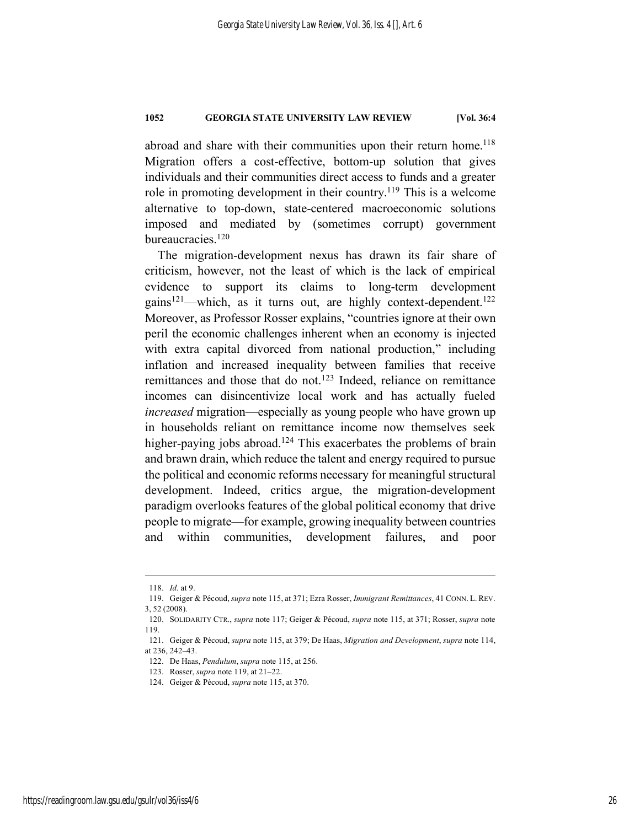abroad and share with their communities upon their return home.<sup>118</sup> Migration offers a cost-effective, bottom-up solution that gives individuals and their communities direct access to funds and a greater role in promoting development in their country.119 This is a welcome alternative to top-down, state-centered macroeconomic solutions imposed and mediated by (sometimes corrupt) government bureaucracies.<sup>120</sup>

The migration-development nexus has drawn its fair share of criticism, however, not the least of which is the lack of empirical evidence to support its claims to long-term development gains<sup>121</sup>—which, as it turns out, are highly context-dependent.<sup>122</sup> Moreover, as Professor Rosser explains, "countries ignore at their own peril the economic challenges inherent when an economy is injected with extra capital divorced from national production," including inflation and increased inequality between families that receive remittances and those that do not.<sup>123</sup> Indeed, reliance on remittance incomes can disincentivize local work and has actually fueled *increased* migration—especially as young people who have grown up in households reliant on remittance income now themselves seek higher-paying jobs abroad.<sup>124</sup> This exacerbates the problems of brain and brawn drain, which reduce the talent and energy required to pursue the political and economic reforms necessary for meaningful structural development. Indeed, critics argue, the migration-development paradigm overlooks features of the global political economy that drive people to migrate—for example, growing inequality between countries and within communities, development failures, and poor

 <sup>118.</sup> *Id.* at 9.

<sup>119.</sup> Geiger & Pécoud, *supra* note 115, at 371; Ezra Rosser, *Immigrant Remittances*, 41 CONN. L. REV. 3, 52 (2008).

<sup>120.</sup> SOLIDARITY CTR., *supra* note 117; Geiger & Pécoud, *supra* note 115, at 371; Rosser, *supra* note 119.

<sup>121.</sup> Geiger & Pécoud, *supra* note 115, at 379; De Haas, *Migration and Development*, *supra* note 114, at 236, 242–43.

<sup>122.</sup> De Haas, *Pendulum*, *supra* note 115, at 256.

<sup>123.</sup> Rosser, *supra* note 119, at 21–22.

<sup>124.</sup> Geiger & Pécoud, *supra* note 115, at 370.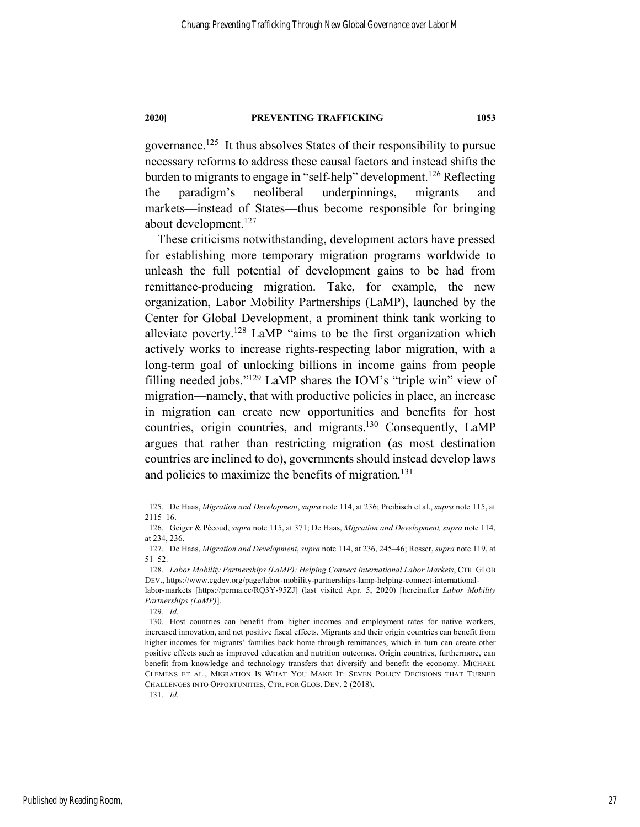governance.125 It thus absolves States of their responsibility to pursue necessary reforms to address these causal factors and instead shifts the burden to migrants to engage in "self-help" development.<sup>126</sup> Reflecting the paradigm's neoliberal underpinnings, migrants and markets—instead of States—thus become responsible for bringing about development.127

These criticisms notwithstanding, development actors have pressed for establishing more temporary migration programs worldwide to unleash the full potential of development gains to be had from remittance-producing migration. Take, for example, the new organization, Labor Mobility Partnerships (LaMP), launched by the Center for Global Development, a prominent think tank working to alleviate poverty.128 LaMP "aims to be the first organization which actively works to increase rights-respecting labor migration, with a long-term goal of unlocking billions in income gains from people filling needed jobs."129 LaMP shares the IOM's "triple win" view of migration—namely, that with productive policies in place, an increase in migration can create new opportunities and benefits for host countries, origin countries, and migrants. <sup>130</sup> Consequently, LaMP argues that rather than restricting migration (as most destination countries are inclined to do), governments should instead develop laws and policies to maximize the benefits of migration. 131

129*. Id.*

 <sup>125.</sup> De Haas, *Migration and Development*, *supra* note 114, at 236; Preibisch et al., *supra* note 115, at 2115–16.

<sup>126.</sup> Geiger & Pécoud, *supra* note 115, at 371; De Haas, *Migration and Development, supra* note 114, at 234, 236.

<sup>127.</sup> De Haas, *Migration and Development*, *supra* note 114, at 236, 245–46; Rosser, *supra* note 119, at 51–52.

<sup>128.</sup> *Labor Mobility Partnerships (LaMP): Helping Connect International Labor Markets*, CTR. GLOB DEV., https://www.cgdev.org/page/labor-mobility-partnerships-lamp-helping-connect-internationallabor-markets [https://perma.cc/RQ3Y-95ZJ] (last visited Apr. 5, 2020) [hereinafter *Labor Mobility*

*Partnerships (LaMP)*].

<sup>130.</sup> Host countries can benefit from higher incomes and employment rates for native workers, increased innovation, and net positive fiscal effects. Migrants and their origin countries can benefit from higher incomes for migrants' families back home through remittances, which in turn can create other positive effects such as improved education and nutrition outcomes. Origin countries, furthermore, can benefit from knowledge and technology transfers that diversify and benefit the economy. MICHAEL CLEMENS ET AL., MIGRATION IS WHAT YOU MAKE IT: SEVEN POLICY DECISIONS THAT TURNED CHALLENGES INTO OPPORTUNITIES, CTR. FOR GLOB. DEV. 2 (2018).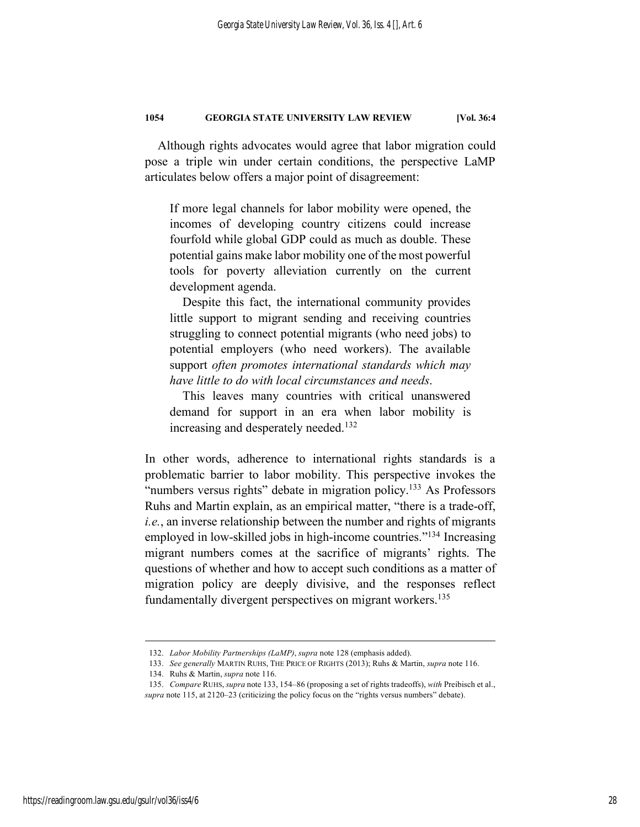Although rights advocates would agree that labor migration could pose a triple win under certain conditions, the perspective LaMP articulates below offers a major point of disagreement:

If more legal channels for labor mobility were opened, the incomes of developing country citizens could increase fourfold while global GDP could as much as double. These potential gains make labor mobility one of the most powerful tools for poverty alleviation currently on the current development agenda.

Despite this fact, the international community provides little support to migrant sending and receiving countries struggling to connect potential migrants (who need jobs) to potential employers (who need workers). The available support *often promotes international standards which may have little to do with local circumstances and needs*.

This leaves many countries with critical unanswered demand for support in an era when labor mobility is increasing and desperately needed.<sup>132</sup>

In other words, adherence to international rights standards is a problematic barrier to labor mobility. This perspective invokes the "numbers versus rights" debate in migration policy.<sup>133</sup> As Professors Ruhs and Martin explain, as an empirical matter, "there is a trade-off, *i.e.*, an inverse relationship between the number and rights of migrants employed in low-skilled jobs in high-income countries."<sup>134</sup> Increasing migrant numbers comes at the sacrifice of migrants' rights. The questions of whether and how to accept such conditions as a matter of migration policy are deeply divisive, and the responses reflect fundamentally divergent perspectives on migrant workers.<sup>135</sup>

 <sup>132.</sup> *Labor Mobility Partnerships (LaMP)*, *supra* note 128 (emphasis added).

<sup>133.</sup> *See generally* MARTIN RUHS, THE PRICE OF RIGHTS (2013); Ruhs & Martin, *supra* note 116.

<sup>134.</sup> Ruhs & Martin, *supra* note 116.

<sup>135.</sup> *Compare* RUHS, *supra* note 133, 154–86 (proposing a set of rights tradeoffs), *with* Preibisch et al., *supra* note 115, at 2120–23 (criticizing the policy focus on the "rights versus numbers" debate).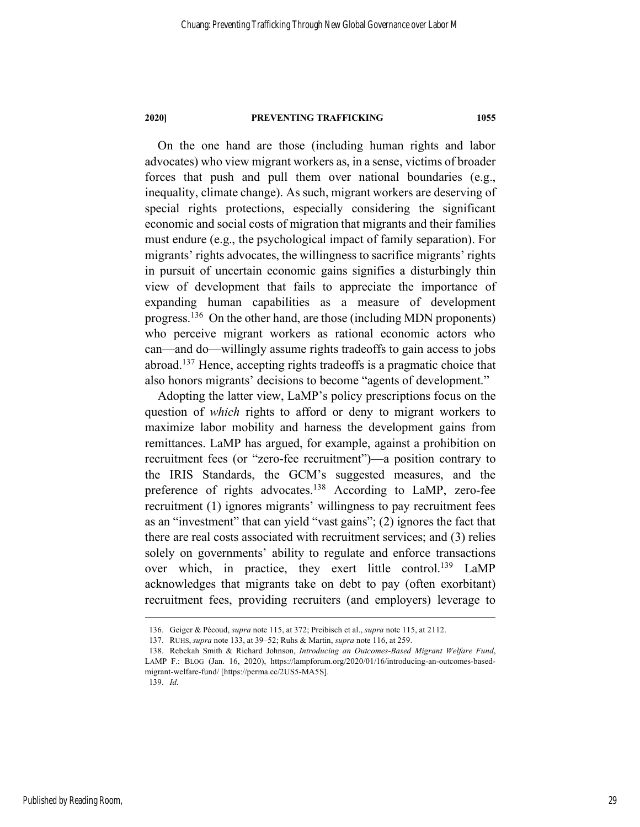On the one hand are those (including human rights and labor advocates) who view migrant workers as, in a sense, victims of broader forces that push and pull them over national boundaries (e.g., inequality, climate change). As such, migrant workers are deserving of special rights protections, especially considering the significant economic and social costs of migration that migrants and their families must endure (e.g., the psychological impact of family separation). For migrants' rights advocates, the willingness to sacrifice migrants' rights in pursuit of uncertain economic gains signifies a disturbingly thin view of development that fails to appreciate the importance of expanding human capabilities as a measure of development progress.136 On the other hand, are those (including MDN proponents) who perceive migrant workers as rational economic actors who can—and do—willingly assume rights tradeoffs to gain access to jobs abroad.137 Hence, accepting rights tradeoffs is a pragmatic choice that also honors migrants' decisions to become "agents of development."

Adopting the latter view, LaMP's policy prescriptions focus on the question of *which* rights to afford or deny to migrant workers to maximize labor mobility and harness the development gains from remittances. LaMP has argued, for example, against a prohibition on recruitment fees (or "zero-fee recruitment")—a position contrary to the IRIS Standards, the GCM's suggested measures, and the preference of rights advocates.<sup>138</sup> According to LaMP, zero-fee recruitment (1) ignores migrants' willingness to pay recruitment fees as an "investment" that can yield "vast gains"; (2) ignores the fact that there are real costs associated with recruitment services; and (3) relies solely on governments' ability to regulate and enforce transactions over which, in practice, they exert little control.<sup>139</sup> LaMP acknowledges that migrants take on debt to pay (often exorbitant) recruitment fees, providing recruiters (and employers) leverage to

139. *Id.*

 <sup>136.</sup> Geiger & Pécoud, *supra* note 115, at 372; Preibisch et al., *supra* note 115, at 2112.

<sup>137.</sup> RUHS, *supra* note 133, at 39–52; Ruhs & Martin, *supra* note 116, at 259.

<sup>138.</sup> Rebekah Smith & Richard Johnson, *Introducing an Outcomes-Based Migrant Welfare Fund*, LAMP F.: BLOG (Jan. 16, 2020), https://lampforum.org/2020/01/16/introducing-an-outcomes-basedmigrant-welfare-fund/ [https://perma.cc/2US5-MA5S].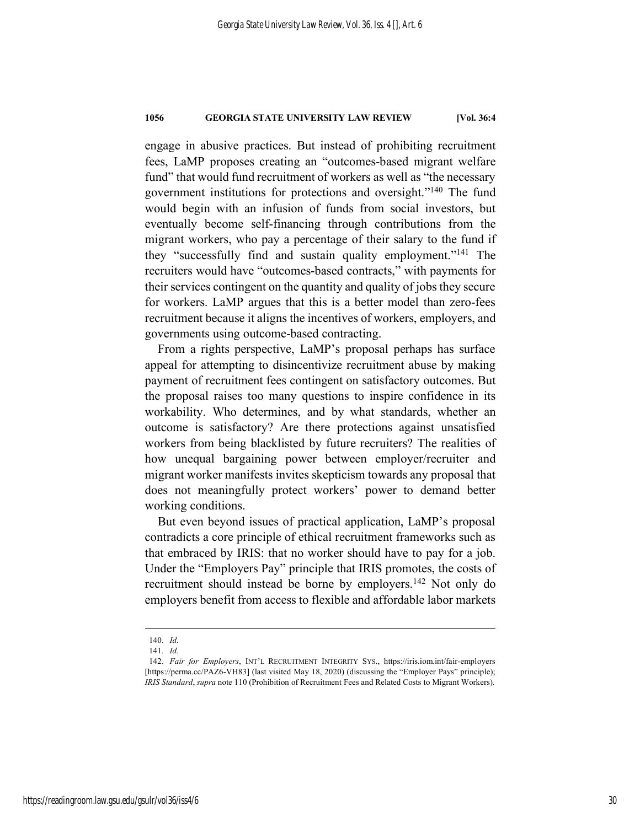engage in abusive practices. But instead of prohibiting recruitment fees, LaMP proposes creating an "outcomes-based migrant welfare fund" that would fund recruitment of workers as well as "the necessary government institutions for protections and oversight."140 The fund would begin with an infusion of funds from social investors, but eventually become self-financing through contributions from the migrant workers, who pay a percentage of their salary to the fund if they "successfully find and sustain quality employment."141 The recruiters would have "outcomes-based contracts," with payments for their services contingent on the quantity and quality of jobs they secure for workers. LaMP argues that this is a better model than zero-fees recruitment because it aligns the incentives of workers, employers, and governments using outcome-based contracting.

From a rights perspective, LaMP's proposal perhaps has surface appeal for attempting to disincentivize recruitment abuse by making payment of recruitment fees contingent on satisfactory outcomes. But the proposal raises too many questions to inspire confidence in its workability. Who determines, and by what standards, whether an outcome is satisfactory? Are there protections against unsatisfied workers from being blacklisted by future recruiters? The realities of how unequal bargaining power between employer/recruiter and migrant worker manifests invites skepticism towards any proposal that does not meaningfully protect workers' power to demand better working conditions.

But even beyond issues of practical application, LaMP's proposal contradicts a core principle of ethical recruitment frameworks such as that embraced by IRIS: that no worker should have to pay for a job. Under the "Employers Pay" principle that IRIS promotes, the costs of recruitment should instead be borne by employers.<sup>142</sup> Not only do employers benefit from access to flexible and affordable labor markets

 <sup>140.</sup> *Id.*

<sup>141.</sup> *Id.*

<sup>142.</sup> *Fair for Employers*, INT'L RECRUITMENT INTEGRITY SYS., https://iris.iom.int/fair-employers [https://perma.cc/PAZ6-VH83] (last visited May 18, 2020) (discussing the "Employer Pays" principle); *IRIS Standard*, *supra* note 110 (Prohibition of Recruitment Fees and Related Costs to Migrant Workers).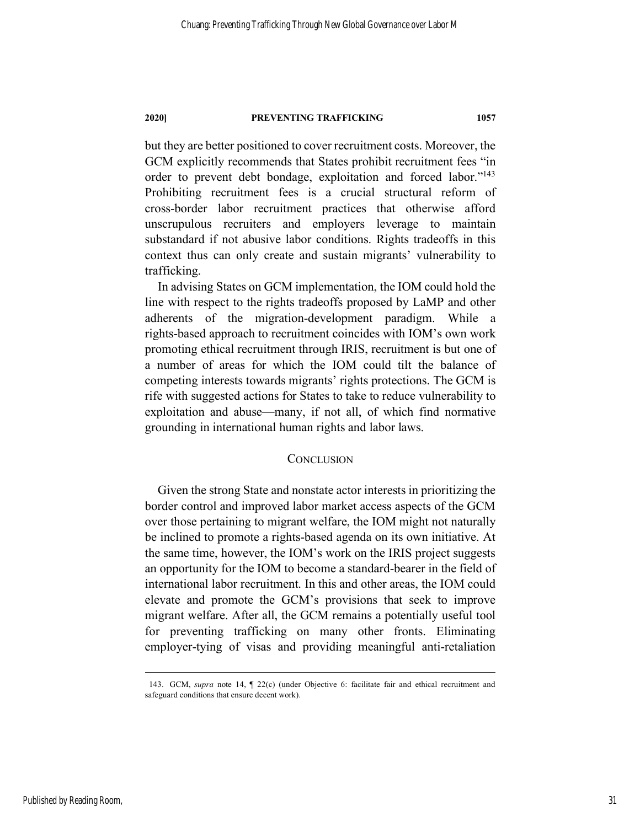but they are better positioned to cover recruitment costs. Moreover, the GCM explicitly recommends that States prohibit recruitment fees "in order to prevent debt bondage, exploitation and forced labor."143 Prohibiting recruitment fees is a crucial structural reform of cross-border labor recruitment practices that otherwise afford unscrupulous recruiters and employers leverage to maintain substandard if not abusive labor conditions. Rights tradeoffs in this context thus can only create and sustain migrants' vulnerability to trafficking.

In advising States on GCM implementation, the IOM could hold the line with respect to the rights tradeoffs proposed by LaMP and other adherents of the migration-development paradigm. While a rights-based approach to recruitment coincides with IOM's own work promoting ethical recruitment through IRIS, recruitment is but one of a number of areas for which the IOM could tilt the balance of competing interests towards migrants' rights protections. The GCM is rife with suggested actions for States to take to reduce vulnerability to exploitation and abuse—many, if not all, of which find normative grounding in international human rights and labor laws.

# **CONCLUSION**

Given the strong State and nonstate actor interests in prioritizing the border control and improved labor market access aspects of the GCM over those pertaining to migrant welfare, the IOM might not naturally be inclined to promote a rights-based agenda on its own initiative. At the same time, however, the IOM's work on the IRIS project suggests an opportunity for the IOM to become a standard-bearer in the field of international labor recruitment. In this and other areas, the IOM could elevate and promote the GCM's provisions that seek to improve migrant welfare. After all, the GCM remains a potentially useful tool for preventing trafficking on many other fronts. Eliminating employer-tying of visas and providing meaningful anti-retaliation

Published by Reading Room,

 <sup>143.</sup> GCM, *supra* note 14, ¶ 22(c) (under Objective 6: facilitate fair and ethical recruitment and safeguard conditions that ensure decent work).